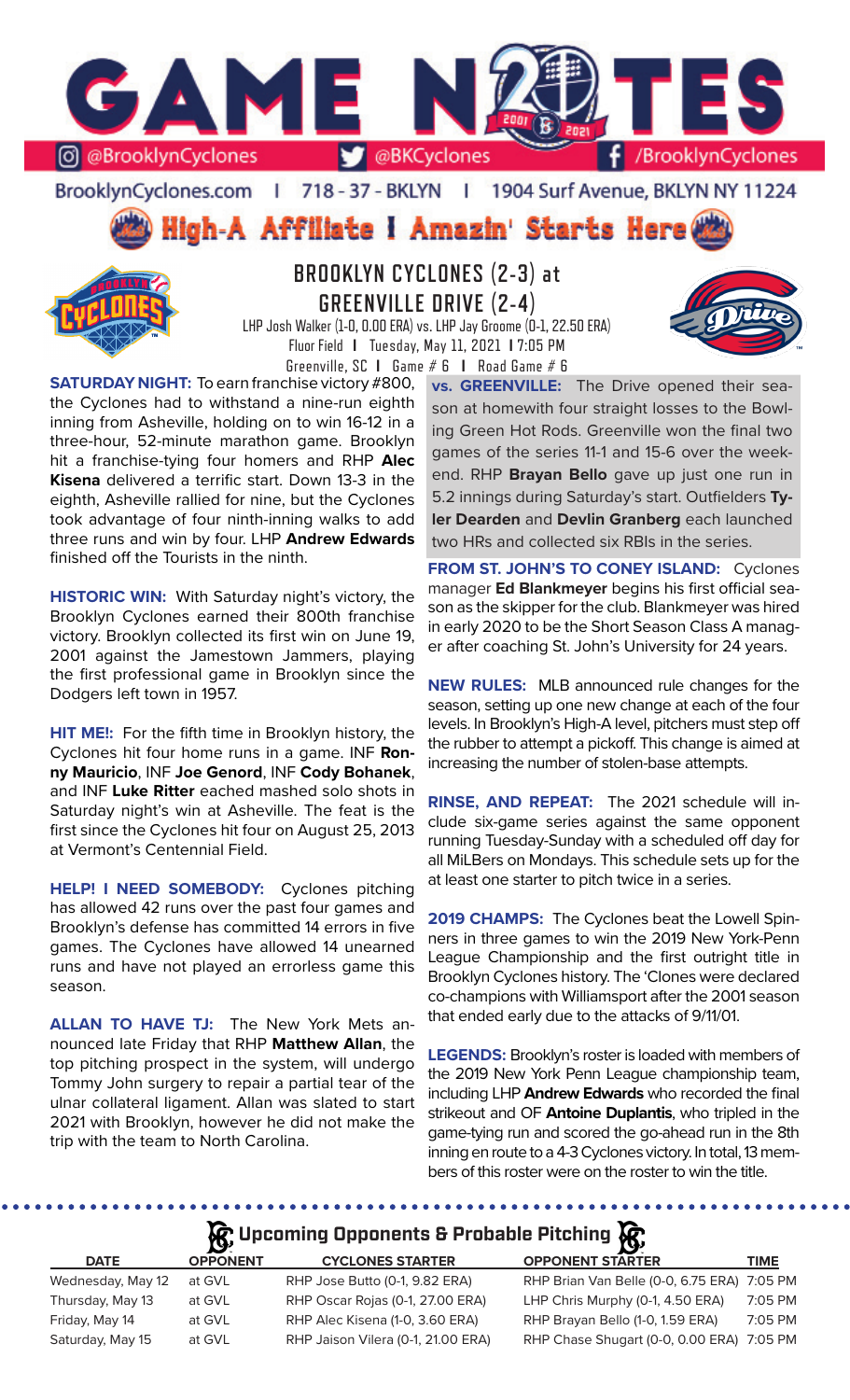

BrooklynCyclones.com | 718 - 37 - BKLYN | 1904 Surf Avenue, BKLYN NY 11224

High-A Affiliate I Amazin' Starts Here



# **BROOKLYN CYCLONES (2-3) at GREENVILLE DRIVE (2-4)**

LHP Josh Walker (1-0, 0.00 ERA) vs. LHP Jay Groome (0-1, 22.50 ERA) Fluor Field **I** Tuesday, May 11, 2021 **I** 7:05 PM Greenville, SC **I** Game # 6 **I** Road Game # 6

**SATURDAY NIGHT:** To earn franchise victory #800, the Cyclones had to withstand a nine-run eighth inning from Asheville, holding on to win 16-12 in a three-hour, 52-minute marathon game. Brooklyn hit a franchise-tying four homers and RHP **Alec Kisena** delivered a terrific start. Down 13-3 in the eighth, Asheville rallied for nine, but the Cyclones took advantage of four ninth-inning walks to add three runs and win by four. LHP **Andrew Edwards**  finished off the Tourists in the ninth.

**HISTORIC WIN:** With Saturday night's victory, the Brooklyn Cyclones earned their 800th franchise victory. Brooklyn collected its first win on June 19, 2001 against the Jamestown Jammers, playing the first professional game in Brooklyn since the Dodgers left town in 1957.

**HIT ME!:** For the fifth time in Brooklyn history, the Cyclones hit four home runs in a game. INF **Ronny Mauricio**, INF **Joe Genord**, INF **Cody Bohanek**, and INF **Luke Ritter** eached mashed solo shots in Saturday night's win at Asheville. The feat is the first since the Cyclones hit four on August 25, 2013 at Vermont's Centennial Field.

**HELP! I NEED SOMEBODY:** Cyclones pitching has allowed 42 runs over the past four games and Brooklyn's defense has committed 14 errors in five games. The Cyclones have allowed 14 unearned runs and have not played an errorless game this season.

**ALLAN TO HAVE TJ:** The New York Mets announced late Friday that RHP **Matthew Allan**, the top pitching prospect in the system, will undergo Tommy John surgery to repair a partial tear of the ulnar collateral ligament. Allan was slated to start 2021 with Brooklyn, however he did not make the trip with the team to North Carolina.

**vs. GREENVILLE:** The Drive opened their season at homewith four straight losses to the Bowling Green Hot Rods. Greenville won the final two games of the series 11-1 and 15-6 over the weekend. RHP **Brayan Bello** gave up just one run in 5.2 innings during Saturday's start. Outfielders **Tyler Dearden** and **Devlin Granberg** each launched two HRs and collected six RBIs in the series.

**FROM ST. JOHN'S TO CONEY ISLAND:** Cyclones manager **Ed Blankmeyer** begins his first official season as the skipper for the club. Blankmeyer was hired in early 2020 to be the Short Season Class A manager after coaching St. John's University for 24 years.

**NEW RULES:** MLB announced rule changes for the season, setting up one new change at each of the four levels. In Brooklyn's High-A level, pitchers must step off the rubber to attempt a pickoff. This change is aimed at increasing the number of stolen-base attempts.

**RINSE, AND REPEAT:** The 2021 schedule will include six-game series against the same opponent running Tuesday-Sunday with a scheduled off day for all MiLBers on Mondays. This schedule sets up for the at least one starter to pitch twice in a series.

**2019 CHAMPS:** The Cyclones beat the Lowell Spinners in three games to win the 2019 New York-Penn League Championship and the first outright title in Brooklyn Cyclones history. The 'Clones were declared co-champions with Williamsport after the 2001 season that ended early due to the attacks of 9/11/01.

**LEGENDS:** Brooklyn's roster is loaded with members of the 2019 New York Penn League championship team, including LHP **Andrew Edwards** who recorded the final strikeout and OF **Antoine Duplantis**, who tripled in the game-tying run and scored the go-ahead run in the 8th inning en route to a 4-3 Cyclones victory. In total, 13 members of this roster were on the roster to win the title.

# **R**: Upcoming Opponents & Probable Pitching **R**

| <b>DATE</b>       | <b>OPPONENT</b> | <b>CYCLONES STARTER</b>            | <b>OPPONENT STARTER</b>                     | <b>TIME</b> |
|-------------------|-----------------|------------------------------------|---------------------------------------------|-------------|
| Wednesday, May 12 | at GVL          | RHP Jose Butto (0-1, 9.82 ERA)     | RHP Brian Van Belle (0-0, 6.75 ERA) 7:05 PM |             |
| Thursday, May 13  | at GVL          | RHP Oscar Rojas (0-1, 27.00 ERA)   | LHP Chris Murphy (0-1, 4.50 ERA)            | 7:05 PM     |
| Friday, May 14    | at GVL          | RHP Alec Kisena (1-0, 3.60 ERA)    | RHP Brayan Bello (1-0, 1.59 ERA)            | 7:05 PM     |
| Saturday, May 15  | at GVL          | RHP Jaison Vilera (0-1, 21.00 ERA) | RHP Chase Shugart (0-0, 0.00 ERA) 7:05 PM   |             |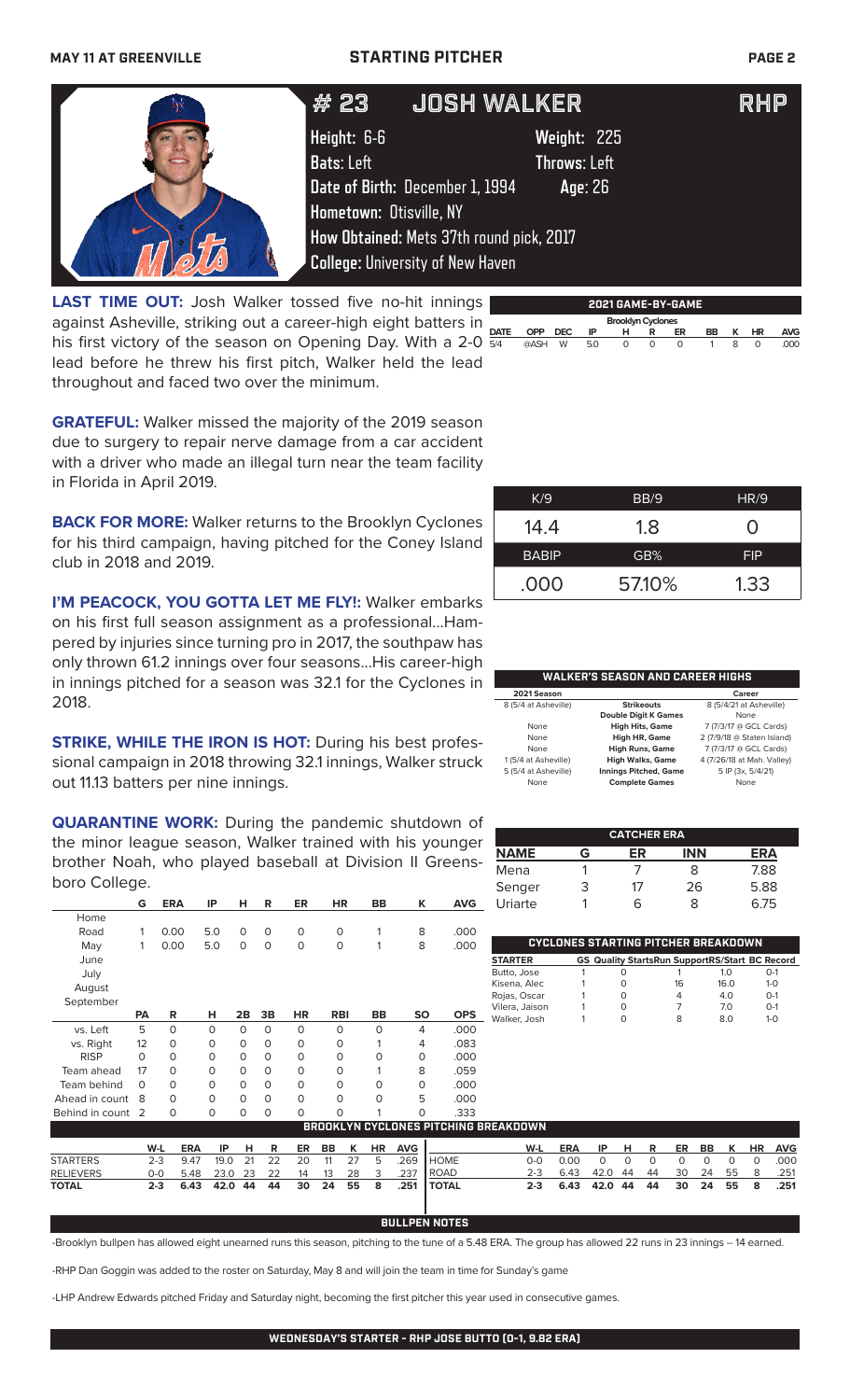### **MAY 11 AT GREENVILLE STARTING PITCHER PAGE 2**

| <b>JOSH WALKER</b><br># 23<br><b>RHP</b>                                                                                                                                                                                               |  |
|----------------------------------------------------------------------------------------------------------------------------------------------------------------------------------------------------------------------------------------|--|
| Height: 6-6<br>Weight: 225<br><b>Bats: Left</b><br><b>Throws: Left</b><br>Date of Birth: December 1, 1994<br>Age: 26<br>Hometown: Otisville, NY<br>How Obtained: Mets 37th round pick, 2017<br><b>College: University of New Haven</b> |  |

**LAST TIME OUT:** Josh Walker tossed five no-hit innings against Asheville, striking out a career-high eight batters in his first victory of the season on Opening Day. With a 2-0 lead before he threw his first pitch, Walker held the lead throughout and faced two over the minimum.

| 2021 GAME-BY-GAME        |            |            |     |   |   |    |    |              |          |      |
|--------------------------|------------|------------|-----|---|---|----|----|--------------|----------|------|
| <b>Brooklyn Cyclones</b> |            |            |     |   |   |    |    |              |          |      |
| <b>DATE</b>              | <b>OPP</b> | <b>DEC</b> | IP  | н | R | ER | BB | к            | HR       | AVG  |
| 5/4                      | @ASH       | W          | 5.0 | 0 | 0 | 0  |    | <sub>R</sub> | $\Omega$ | .000 |

**GRATEFUL:** Walker missed the majority of the 2019 season due to surgery to repair nerve damage from a car accident with a driver who made an illegal turn near the team facility in Florida in April 2019.

**BACK FOR MORE:** Walker returns to the Brooklyn Cyclones for his third campaign, having pitched for the Coney Island club in 2018 and 2019.

**I'M PEACOCK, YOU GOTTA LET ME FLY!: Walker embarks** on his first full season assignment as a professional...Hampered by injuries since turning pro in 2017, the southpaw has only thrown 61.2 innings over four seasons...His career-high in innings pitched for a season was 32.1 for the Cyclones in 2018.

**STRIKE, WHILE THE IRON IS HOT: During his best profes**sional campaign in 2018 throwing 32.1 innings, Walker struck out 11.13 batters per nine innings.

**QUARANTINE WORK:** During the pandemic shutdown of the minor league season, Walker trained with his younger brother Noah, who played baseball at Division II Greensboro College.

|                 | G         | <b>ERA</b> | IP       | н        | R        | ER       | HR         | BB          | K         | <b>AVG</b>                      |
|-----------------|-----------|------------|----------|----------|----------|----------|------------|-------------|-----------|---------------------------------|
| Home            |           |            |          |          |          |          |            |             |           |                                 |
| Road            | 1         | 0.00       | 5.0      | $\Omega$ | $\Omega$ | $\Omega$ | 0          | 1           | 8         | .000                            |
| May             | 1         | 0.00       | 5.0      | $\Omega$ | $\Omega$ | $\Omega$ | $\Omega$   | 1           | 8         | .000                            |
| June            |           |            |          |          |          |          |            |             |           |                                 |
| July            |           |            |          |          |          |          |            |             |           |                                 |
| August          |           |            |          |          |          |          |            |             |           |                                 |
| September       |           |            |          |          |          |          |            |             |           |                                 |
|                 | <b>PA</b> | R          | н        | 2B       | 3B       | HR       | <b>RBI</b> | <b>BB</b>   | <b>SO</b> | <b>OPS</b>                      |
| vs. Left        | 5         | $\Omega$   | $\Omega$ | $\Omega$ | $\Omega$ | $\Omega$ | $\Omega$   | $\Omega$    | 4         | .000                            |
| vs. Right       | 12        | $\Omega$   | 0        | $\Omega$ | $\Omega$ | 0        | O          | 1           | 4         | .083                            |
| <b>RISP</b>     | $\Omega$  | $\Omega$   | 0        | $\Omega$ | $\Omega$ | $\Omega$ | O          | 0           | $\Omega$  | .000                            |
| Team ahead      | 17        | $\Omega$   | O        | $\Omega$ | $\Omega$ | $\Omega$ | $\Omega$   | 1           | 8         | .059                            |
| Team behind     | $\Omega$  | $\Omega$   | O        | $\Omega$ | $\Omega$ | $\Omega$ | $\Omega$   | $\Omega$    | $\Omega$  | .000                            |
| Ahead in count  | 8         | $\Omega$   | $\Omega$ | $\Omega$ | $\Omega$ | $\Omega$ | O          | $\mathbf 0$ | 5         | .000                            |
| Behind in count | 2         | 0          | O        | $\Omega$ | $\Omega$ | $\Omega$ | O          | 1           | O         | .333                            |
|                 |           |            |          |          |          |          |            |             |           | RONNYI VN CYCI ANES DITCHING RD |

| K/9          | BB/9   | HR/9             |
|--------------|--------|------------------|
| 14.4         | 1.8    | $\left( \right)$ |
| <b>BABIP</b> | GB%    | <b>FIP</b>       |
| .000         | 57.10% | 1.33             |
|              |        |                  |

### **WALKER'S SEASON AND CAREER HIGHS**

| 2021 Season          |                              | Career                     |
|----------------------|------------------------------|----------------------------|
| 8 (5/4 at Asheville) | <b>Strikeouts</b>            | 8 (5/4/21 at Asheville)    |
|                      | <b>Double Digit K Games</b>  | None                       |
| None                 | <b>High Hits, Game</b>       | 7 (7/3/17 @ GCL Cards)     |
| None                 | <b>High HR, Game</b>         | 2 (7/9/18 @ Staten Island) |
| None                 | <b>High Runs, Game</b>       | 7 (7/3/17 @ GCL Cards)     |
| 1 (5/4 at Asheville) | <b>High Walks, Game</b>      | 4 (7/26/18 at Mah. Valley) |
| 5 (5/4 at Asheville) | <b>Innings Pitched, Game</b> | 5 IP (3x, 5/4/21)          |
| None                 | <b>Complete Games</b>        | None                       |

| <b>CATCHER ERA</b> |   |    |            |            |  |  |
|--------------------|---|----|------------|------------|--|--|
| <b>NAME</b>        | G | ER | <b>INN</b> | <b>ERA</b> |  |  |
| Mena               |   |    | 8          | 7.88       |  |  |
| Senger             | З | 17 | 26         | 5.88       |  |  |
| Uriarte            |   | 6  | x          | 6.75       |  |  |

| CYCLONES STARTING PITCHER BREAKDOWN |  |  |                                                       |      |            |  |  |
|-------------------------------------|--|--|-------------------------------------------------------|------|------------|--|--|
| <b>STARTER</b>                      |  |  | <b>GS Quality StartsRun SupportRS/Start BC Record</b> |      |            |  |  |
| Butto, Jose                         |  |  |                                                       | 1 O  | $O-1$      |  |  |
| Kisena, Alec                        |  |  | 16                                                    | 16.0 | $1 - 0$    |  |  |
| Rojas, Oscar                        |  |  | 4                                                     | 4.0  | $O-1$      |  |  |
| Vilera, Jaison                      |  |  |                                                       | 70   | $O-1$      |  |  |
| . Walker, Josh                      |  |  | 8                                                     | 80   | $1-\Omega$ |  |  |
|                                     |  |  |                                                       |      |            |  |  |

|                                              |         |                 |  |  |            |    |          |  |                         |            | .             |         |              |            |      |            |      |      |           |            |
|----------------------------------------------|---------|-----------------|--|--|------------|----|----------|--|-------------------------|------------|---------------|---------|--------------|------------|------|------------|------|------|-----------|------------|
| <b>BROOKLYN CYCLONES PITCHING BREAKDOWN.</b> |         |                 |  |  |            |    |          |  |                         |            |               |         |              |            |      |            |      |      |           |            |
|                                              | W-L     | <b>ERA</b>      |  |  | IP HR      |    | ER BB K  |  | HR                      | <b>AVG</b> |               | W-L     | ERA          | IP HR      |      | ER BB K    |      |      | <b>HR</b> | <b>AVG</b> |
| <b>STARTERS</b>                              | $2 - 3$ | 9.47            |  |  | 19.0 21 22 |    | 20 11 27 |  | - 5                     | 269        | <b>I</b> HOME | റ-റ     | 0.OQ         |            |      |            |      |      | $\Omega$  | .000       |
| <b>RELIEVERS</b>                             | 0-0     | 5.48 23.0 23    |  |  | 22         | 14 | 13 28    |  | $\overline{\mathbf{3}}$ | .237       | <b>IROAD</b>  | $2 - 3$ | 6.43         | 42.0 44 44 |      | - 30       | - 24 | 55 8 |           | .251       |
| <b>TOTAL</b>                                 | $2 - 3$ | 6.43 42.0 44 44 |  |  |            |    |          |  |                         |            |               | $2-3$   | 6.43 42.0 44 |            | - 44 | 30 24 55 8 |      |      |           | .251       |

### **BULLPEN NOTES**

-Brooklyn bullpen has allowed eight unearned runs this season, pitching to the tune of a 5.48 ERA. The group has allowed 22 runs in 23 innings -- 14 earned.

-RHP Dan Goggin was added to the roster on Saturday, May 8 and will join the team in time for Sunday's game

-LHP Andrew Edwards pitched Friday and Saturday night, becoming the first pitcher this year used in consecutive games.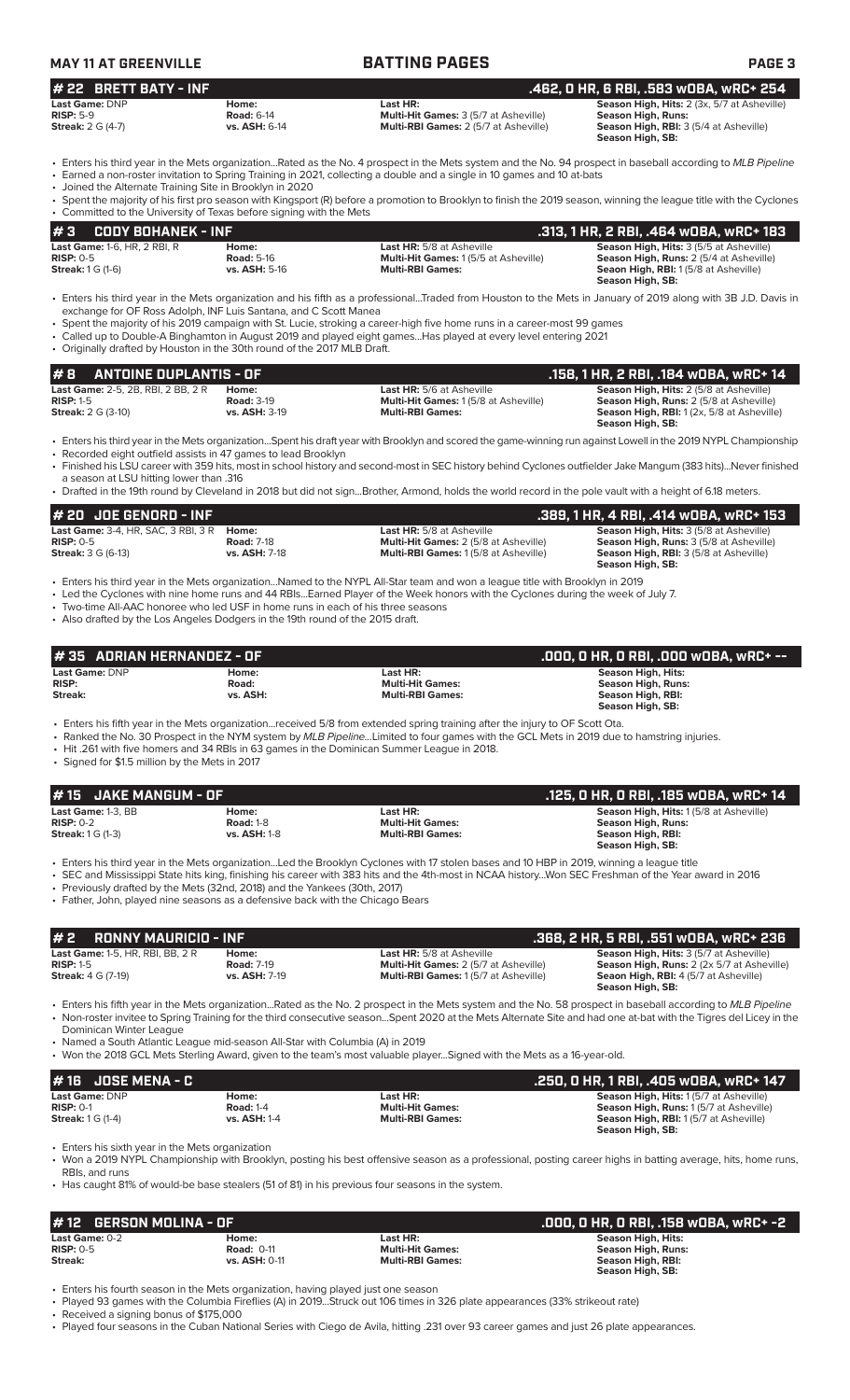| <b>MAY 11 AT GREENVILLE</b> |                      | <b>BATTING PAGES</b>                         | <b>PAGE 3</b>                                      |
|-----------------------------|----------------------|----------------------------------------------|----------------------------------------------------|
| $#$ 22 BRETT BATY - INF     |                      |                                              | .462. O HR. 6 RBI. .583 WOBA. wRC+ 254             |
| Last Game: DNP              | Home:                | Last HR:                                     | <b>Season High, Hits:</b> 2 (3x, 5/7 at Asheville) |
| $RISP: 5-9$                 | <b>Road: 6-14</b>    | <b>Multi-Hit Games: 3 (5/7 at Asheville)</b> | <b>Season High, Runs:</b>                          |
| <b>Streak: 2 G (4-7)</b>    | <b>vs. ASH: 6-14</b> | <b>Multi-RBI Games: 2 (5/7 at Asheville)</b> | <b>Season High, RBI: 3 (5/4 at Asheville)</b>      |
|                             |                      |                                              | Season High, SB:                                   |

• Enters his third year in the Mets organization...Rated as the No. 4 prospect in the Mets system and the No. 94 prospect in baseball according to *MLB Pipeline* • Earned a non-roster invitation to Spring Training in 2021, collecting a double and a single in 10 games and 10 at-bats

• Joined the Alternate Training Site in Brooklyn in 2020

| <b>JUINED THE ARE HIGHBIG THAIRING JUG IN DIVORITIES ZUZU</b>                                                                                                        |
|----------------------------------------------------------------------------------------------------------------------------------------------------------------------|
| • Spent the majority of his first pro season with Kingsport (R) before a promotion to Brooklyn to finish the 2019 season, winning the league title with the Cyclones |
| • Committed to the University of Texas before signing with the Mets                                                                                                  |

| <b>#3</b><br>CODY BOHANEK - INF     |                      |                                             | .313, 1 HR, 2 RBI, .464 wOBA, wRC+ 183         |
|-------------------------------------|----------------------|---------------------------------------------|------------------------------------------------|
| <b>Last Game:</b> 1-6, HR, 2 RBI, R | Home:                | <b>Last HR:</b> 5/8 at Asheville            | <b>Season High, Hits: 3 (5/5 at Asheville)</b> |
| $RISP: 0-5$                         | <b>Road: 5-16</b>    | <b>Multi-Hit Games: 1(5/5 at Asheville)</b> | <b>Season High, Runs: 2 (5/4 at Asheville)</b> |
| <b>Streak:</b> $1 G (1-6)$          | <b>vs. ASH:</b> 5-16 | <b>Multi-RBI Games:</b>                     | <b>Seaon High, RBI:</b> 1(5/8 at Asheville)    |
|                                     |                      |                                             | Season High, SB:                               |

<sup>•</sup> Enters his third year in the Mets organization and his fifth as a professional...Traded from Houston to the Mets in January of 2019 along with 3B J.D. Davis in exchange for OF Ross Adolph, INF Luis Santana, and C Scott Manea

- Spent the majority of his 2019 campaign with St. Lucie, stroking a career-high five home runs in a career-most 99 games
- Called up to Double-A Binghamton in August 2019 and played eight games...Has played at every level entering 2021 • Originally drafted by Houston in the 30th round of the 2017 MLB Draft.

| #B<br>ANTOINE DUPLANTIS - OF              |                      |                                             | . 158, 1 HR, 2 RBI, .184 wOBA, wRC+ 14.          |
|-------------------------------------------|----------------------|---------------------------------------------|--------------------------------------------------|
| <b>Last Game: 2-5, 2B, RBI, 2 BB, 2 R</b> | Home:                | <b>Last HR:</b> 5/6 at Asheville            | <b>Season High, Hits: 2 (5/8 at Asheville)</b>   |
| $RISP: 1-5$                               | <b>Road: 3-19</b>    | <b>Multi-Hit Games: 1(5/8 at Asheville)</b> | <b>Season High, Runs: 2 (5/8 at Asheville)</b>   |
| <b>Streak:</b> 2 G (3-10)                 | <b>vs. ASH: 3-19</b> | <b>Multi-RBI Games:</b>                     | <b>Season High, RBI:</b> 1(2x, 5/8 at Asheville) |
|                                           |                      |                                             | Season High, SB:                                 |

• Enters his third year in the Mets organization...Spent his draft year with Brooklyn and scored the game-winning run against Lowell in the 2019 NYPL Championship • Recorded eight outfield assists in 47 games to lead Brooklyn

- Finished his LSU career with 359 hits, most in school history and second-most in SEC history behind Cyclones outfielder Jake Mangum (383 hits)...Never finished a season at LSU hitting lower than .316
- Drafted in the 19th round by Cleveland in 2018 but did not sign...Brother, Armond, holds the world record in the pole vault with a height of 6.18 meters.

| $#$ 20 JOE GENORD - INF                                                                |                                                    |                                                                                                                                 | .389, 1 HR, 4 RBI, .414 wOBA, wRC+ 153                                                                                                                                |
|----------------------------------------------------------------------------------------|----------------------------------------------------|---------------------------------------------------------------------------------------------------------------------------------|-----------------------------------------------------------------------------------------------------------------------------------------------------------------------|
| <b>Last Game: 3-4. HR. SAC. 3 RBI. 3 R</b><br>$RISP: 0-5$<br><b>Streak: 3 G (6-13)</b> | Home:<br><b>Road: 7-18</b><br><b>vs. ASH: 7-18</b> | <b>Last HR:</b> 5/8 at Asheville<br><b>Multi-Hit Games: 2 (5/8 at Asheville)</b><br><b>Multi-RBI Games: 1(5/8 at Asheville)</b> | <b>Season High, Hits: 3 (5/8 at Asheville)</b><br><b>Season High, Runs: 3 (5/8 at Asheville)</b><br><b>Season High, RBI: 3 (5/8 at Asheville)</b><br>Season High, SB: |

• Enters his third year in the Mets organization...Named to the NYPL All-Star team and won a league title with Brooklyn in 2019

- Led the Cyclones with nine home runs and 44 RBIs...Earned Player of the Week honors with the Cyclones during the week of July 7.
- Two-time All-AAC honoree who led USF in home runs in each of his three seasons
- Also drafted by the Los Angeles Dodgers in the 19th round of the 2015 draft.

| #35 ADRIAN HERNANDEZ - OF |          |                         | ' .000, 0 HR, 0 RBI, .000 w0BA, wRC+ -- |
|---------------------------|----------|-------------------------|-----------------------------------------|
| Last Game: DNP            | Home:    | Last HR:                | Season High, Hits:                      |
| <b>RISP:</b>              | Road:    | <b>Multi-Hit Games:</b> | <b>Season High, Runs:</b>               |
| Streak:                   | vs. ASH: | <b>Multi-RBI Games:</b> | Season High, RBI:                       |
|                           |          |                         | Season High, SB:                        |

• Enters his fifth year in the Mets organization...received 5/8 from extended spring training after the injury to OF Scott Ota.

• Ranked the No. 30 Prospect in the NYM system by *MLB Pipeline...*Limited to four games with the GCL Mets in 2019 due to hamstring injuries.

• Hit .261 with five homers and 34 RBIs in 63 games in the Dominican Summer League in 2018.

• Signed for \$1.5 million by the Mets in 2017

| $#15$ JAKE MANGUM - OF                                        |                                                  |                                                                | . .125, O HR, O RBI, .185 wOBA, wRC+ 14'                                                                                                  |
|---------------------------------------------------------------|--------------------------------------------------|----------------------------------------------------------------|-------------------------------------------------------------------------------------------------------------------------------------------|
| Last Game: 1-3, BB<br>$RISP: 0-2$<br><b>Streak:</b> 1 G (1-3) | Home:<br><b>Road: 1-8</b><br><b>vs. ASH: 1-8</b> | Last HR:<br><b>Multi-Hit Games:</b><br><b>Multi-RBI Games:</b> | <b>Season High, Hits: 1(5/8 at Asheville)</b><br><b>Season High, Runs:</b><br>Season High, RBI:<br>Season High, SB:                       |
|                                                               |                                                  |                                                                | . Entere bis third year in the Mets erganization Led the Brooklyn Cyclones with 17 stelen bases and 10 HRD in 2019 winning a league title |

• Enters his third year in the Mets organization...Led the Brooklyn Cyclones with 17 stolen bases and 10 HBP in 2019, winning a league title • SEC and Mississippi State hits king, finishing his career with 383 hits and the 4th-most in NCAA history...Won SEC Freshman of the Year award in 2016

• Previously drafted by the Mets (32nd, 2018) and the Yankees (30th, 2017)

• Father, John, played nine seasons as a defensive back with the Chicago Bears

| $# 2$ RONNY MAURICIO - INF                                                          |                                                    |                                                                                                                                 | .368. 2 HR. 5 RBI. .551 wOBA. wRC+ 236                                                                                                                                  |
|-------------------------------------------------------------------------------------|----------------------------------------------------|---------------------------------------------------------------------------------------------------------------------------------|-------------------------------------------------------------------------------------------------------------------------------------------------------------------------|
| <b>Last Game: 1-5. HR. RBI. BB. 2 R</b><br>$RISP: 1-5$<br><b>Streak: 4 G (7-19)</b> | Home:<br><b>Road: 7-19</b><br><b>vs. ASH: 7-19</b> | <b>Last HR:</b> 5/8 at Asheville<br><b>Multi-Hit Games: 2 (5/7 at Asheville)</b><br><b>Multi-RBI Games: 1(5/7 at Asheville)</b> | <b>Season High, Hits: 3 (5/7 at Asheville)</b><br><b>Season High, Runs:</b> 2 (2x 5/7 at Asheville)<br><b>Seaon High, RBI: 4 (5/7 at Asheville)</b><br>Season High, SB: |

• Enters his fifth year in the Mets organization...Rated as the No. 2 prospect in the Mets system and the No. 58 prospect in baseball according to *MLB Pipeline* • Non-roster invitee to Spring Training for the third consecutive season...Spent 2020 at the Mets Alternate Site and had one at-bat with the Tigres del Licey in the Dominican Winter League

• Named a South Atlantic League mid-season All-Star with Columbia (A) in 2019

• Won the 2018 GCL Mets Sterling Award, given to the team's most valuable player...Signed with the Mets as a 16-year-old.

| $#16$ JOSE MENA - C                                                         |                                           |                                                                | .250, 0 HR, 1 RBI, .405 w0BA, wRC+ 147                                                                                                                             |
|-----------------------------------------------------------------------------|-------------------------------------------|----------------------------------------------------------------|--------------------------------------------------------------------------------------------------------------------------------------------------------------------|
| <b>Last Game: DNP</b><br>$RISP: 0-1$<br><b>Streak:</b> $1 \text{ G } (1-4)$ | Home:<br><b>Road: 1-4</b><br>vs. ASH: 1-4 | Last HR:<br><b>Multi-Hit Games:</b><br><b>Multi-RBI Games:</b> | <b>Season High, Hits: 1(5/7 at Asheville)</b><br><b>Season High, Runs: 1(5/7 at Asheville)</b><br><b>Season High, RBI:</b> 1(5/7 at Asheville)<br>Season High, SB: |

Enters his sixth year in the Mets organization

• Won a 2019 NYPL Championship with Brooklyn, posting his best offensive season as a professional, posting career highs in batting average, hits, home runs, RBIs, and runs

• Has caught 81% of would-be base stealers (51 of 81) in his previous four seasons in the system.

| $#$ 12 GERSON MOLINA - OF |                      | .000, 0 HR, 0 RBI, .158 w0BA, wRC+ -2 |                                       |
|---------------------------|----------------------|---------------------------------------|---------------------------------------|
| Last Game: 0-2            | Home:                | Last HR:                              | Season High, Hits:                    |
| $RISP: 0-5$               | <b>Road: 0-11</b>    | <b>Multi-Hit Games:</b>               | Season High, Runs:                    |
| Streak:                   | <b>vs. ASH: 0-11</b> | <b>Multi-RBI Games:</b>               | Season High, RBI:<br>Season High, SB: |

• Enters his fourth season in the Mets organization, having played just one season

• Played 93 games with the Columbia Fireflies (A) in 2019...Struck out 106 times in 326 plate appearances (33% strikeout rate)

• Received a signing bonus of \$175,000

• Played four seasons in the Cuban National Series with Ciego de Avila, hitting .231 over 93 career games and just 26 plate appearances.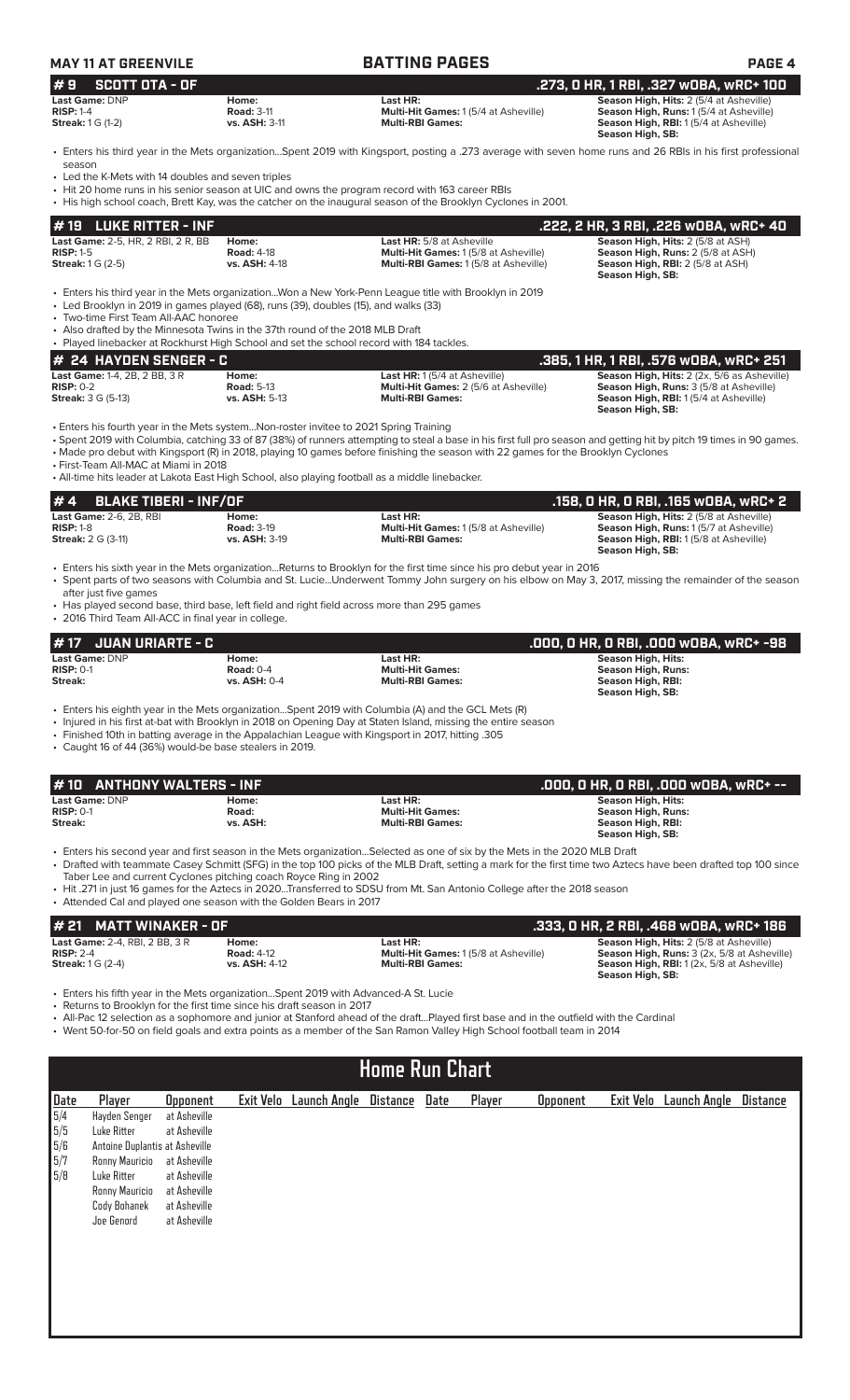| <b>MAY 11 AT GREENVILE</b>          |                      | <b>BATTING PAGES</b>                        | <b>PAGE 4</b>                                  |
|-------------------------------------|----------------------|---------------------------------------------|------------------------------------------------|
| $# 9$ SCOTT OTA - OF                |                      |                                             | .273. O HR. 1 RBI. .327 wOBA. wRC+ 100         |
| Last Game: DNP                      | Home:                | Last HR:                                    | <b>Season High, Hits: 2 (5/4 at Asheville)</b> |
| $RISP: 1-4$                         | <b>Road: 3-11</b>    | <b>Multi-Hit Games: 1(5/4 at Asheville)</b> | <b>Season High, Runs: 1(5/4 at Asheville)</b>  |
| <b>Streak:</b> $1 \text{ } G$ (1-2) | <b>vs. ASH: 3-11</b> | <b>Multi-RBI Games:</b>                     | <b>Season High, RBI:</b> 1(5/4 at Asheville)   |

• Enters his third year in the Mets organization...Spent 2019 with Kingsport, posting a .273 average with seven home runs and 26 RBIs in his first professional season

**Season High, SB:** 

Led the K-Mets with 14 doubles and seven triples

- Hit 20 home runs in his senior season at UIC and owns the program record with 163 career RBIs
- His high school coach, Brett Kay, was the catcher on the inaugural season of the Brooklyn Cyclones in 2001.

| $# 19$ LUKE RITTER - INF                                 |                            |                                                                                                        | . .222, 2 HR, 3 RBI, .226 wOBA, wRC+ 40.                                             |
|----------------------------------------------------------|----------------------------|--------------------------------------------------------------------------------------------------------|--------------------------------------------------------------------------------------|
| <b>Last Game: 2-5, HR, 2 RBI, 2 R, BB</b><br>$RISP: 1-5$ | Home:<br><b>Road: 4-18</b> | <b>Last HR:</b> 5/8 at Asheville<br><b>Multi-Hit Games: 1(5/8 at Asheville)</b>                        | <b>Season High, Hits: 2 (5/8 at ASH)</b><br><b>Season High, Runs: 2 (5/8 at ASH)</b> |
| <b>Streak:</b> $1 \text{ G}$ $(2-5)$                     | <b>vs. ASH: 4-18</b>       | <b>Multi-RBI Games: 1(5/8 at Asheville)</b>                                                            | <b>Season High, RBI:</b> 2 (5/8 at ASH)<br>Season High, SB:                          |
|                                                          |                            | . Entere bis third was in the Mete erganization Wen a New York Repp League title with Prooklyn in 2010 |                                                                                      |

• Enters his third year in the Mets organization...Won a New York-Penn League title with Brooklyn in 2019 • Led Brooklyn in 2019 in games played (68), runs (39), doubles (15), and walks (33)

• Two-time First Team All-AAC honoree

• Also drafted by the Minnesota Twins in the 37th round of the 2018 MLB Draft

• Played linebacker at Rockhurst High School and set the school record with 184 tackles.

| # 24 HAYDEN SENGER - C               |                      |                                              | .385, 1 HR, 1 RBI, .576 wOBA, wRC+ 251             |
|--------------------------------------|----------------------|----------------------------------------------|----------------------------------------------------|
| <b>Last Game: 1-4, 2B, 2 BB, 3 R</b> | Home:                | <b>Last HR:</b> 1(5/4 at Asheville)          | <b>Season High, Hits:</b> 2 (2x, 5/6 as Asheville) |
| $RISP: 0-2$                          | <b>Road: 5-13</b>    | <b>Multi-Hit Games: 2 (5/6 at Asheville)</b> | <b>Season High, Runs: 3 (5/8 at Asheville)</b>     |
| <b>Streak:</b> 3 G (5-13)            | <b>vs. ASH: 5-13</b> | <b>Multi-RBI Games:</b>                      | <b>Season High, RBI:</b> 1(5/4 at Asheville)       |
|                                      |                      |                                              | Season High, SB:                                   |

• Enters his fourth year in the Mets system...Non-roster invitee to 2021 Spring Training

• Spent 2019 with Columbia, catching 33 of 87 (38%) of runners attempting to steal a base in his first full pro season and getting hit by pitch 19 times in 90 games.

• Made pro debut with Kingsport (R) in 2018, playing 10 games before finishing the season with 22 games for the Brooklyn Cyclones • First-Team All-MAC at Miami in 2018

• All-time hits leader at Lakota East High School, also playing football as a middle linebacker.

| $# 4$ BLAKE TIBERI - INF/OF    |                      |                                                                                                                         | . .158, O HR, O RBI, .165 wOBA, wRC+ 2.                          |
|--------------------------------|----------------------|-------------------------------------------------------------------------------------------------------------------------|------------------------------------------------------------------|
| <b>Last Game: 2-6, 2B, RBI</b> | Home:                | Last HR:                                                                                                                | Season High, Hits: 2 (5/8 at Asheville)                          |
| $RISP: 1-8$                    | <b>Road: 3-19</b>    | <b>Multi-Hit Games: 1(5/8 at Asheville)</b>                                                                             | Season High, Runs: 1(5/7 at Asheville)                           |
| <b>Streak:</b> 2 G (3-11)      | <b>vs. ASH: 3-19</b> | <b>Multi-RBI Games:</b>                                                                                                 | <b>Season High, RBI:</b> 1(5/8 at Asheville)<br>Season High, SB: |
|                                |                      | • Enters his sixth year in the Mets organizationReturns to Brooklyn for the first time since his pro debut year in 2016 |                                                                  |

• Spent parts of two seasons with Columbia and St. Lucie...Underwent Tommy John surgery on his elbow on May 3, 2017, missing the remainder of the season after just five games

• Has played second base, third base, left field and right field across more than 295 games • 2016 Third Team All-ACC in final year in college.

| $# 17$ JUAN URIARTE - C                  |                                             |                                                                | .000. 0 HR. 0 RBI. .000 w0BA. wRC+ -98                                            |
|------------------------------------------|---------------------------------------------|----------------------------------------------------------------|-----------------------------------------------------------------------------------|
| Last Game: DNP<br>$RISP: 0-1$<br>Streak: | Home:<br>Road: $0-4$<br><b>vs. ASH: 0-4</b> | Last HR:<br><b>Multi-Hit Games:</b><br><b>Multi-RBI Games:</b> | Season High, Hits:<br>Season High, Runs:<br>Season High, RBI:<br>Season High, SB: |

• Enters his eighth year in the Mets organization...Spent 2019 with Columbia (A) and the GCL Mets (R)

• Injured in his first at-bat with Brooklyn in 2018 on Opening Day at Staten Island, missing the entire season

• Finished 10th in batting average in the Appalachian League with Kingsport in 2017, hitting .305

• Caught 16 of 44 (36%) would-be base stealers in 2019.

| #10 ANTHONY WALTERS - INF     |                |                                     | .000, O HR, O RBI, .000 wOBA, wRC+ --                  |
|-------------------------------|----------------|-------------------------------------|--------------------------------------------------------|
| Last Game: DNP<br>$RISP: 0-1$ | Home:<br>Road: | Last HR:<br><b>Multi-Hit Games:</b> | <b>Season High, Hits:</b><br><b>Season High, Runs:</b> |
| Streak:                       | vs. ASH:       | <b>Multi-RBI Games:</b>             | Season High, RBI:<br>Season High, SB:                  |
|                               |                |                                     |                                                        |

• Enters his second year and first season in the Mets organization...Selected as one of six by the Mets in the 2020 MLB Draft • Drafted with teammate Casey Schmitt (SFG) in the top 100 picks of the MLB Draft, setting a mark for the first time two Aztecs have been drafted top 100 since Taber Lee and current Cyclones pitching coach Royce Ring in 2002

• Hit .271 in just 16 games for the Aztecs in 2020...Transferred to SDSU from Mt. San Antonio College after the 2018 season • Attended Cal and played one season with the Golden Bears in 2017

| $#$ 21 MATT WINAKER - OF              |                      |                                             | .333. O HR. 2 RBI. .468 wOBA. wRC+ 186             |
|---------------------------------------|----------------------|---------------------------------------------|----------------------------------------------------|
| <b>Last Game: 2-4, RBI, 2 BB, 3 R</b> | Home:                | Last HR:                                    | <b>Season High, Hits: 2 (5/8 at Asheville)</b>     |
| $RISP: 2-4$                           | <b>Road: 4-12</b>    | <b>Multi-Hit Games: 1(5/8 at Asheville)</b> | <b>Season High, Runs:</b> 3 (2x, 5/8 at Asheville) |
| <b>Streak:</b> $1 G (2-4)$            | <b>vs. ASH: 4-12</b> | <b>Multi-RBI Games:</b>                     | <b>Season High, RBI:</b> 1(2x, 5/8 at Asheville)   |
|                                       |                      |                                             | Season High, SB:                                   |

• Enters his fifth year in the Mets organization...Spent 2019 with Advanced-A St. Lucie

• Returns to Brooklyn for the first time since his draft season in 2017

• All-Pac 12 selection as a sophomore and junior at Stanford ahead of the draft...Played first base and in the outfield with the Cardinal

• Went 50-for-50 on field goals and extra points as a member of the San Ramon Valley High School football team in 2014

# **Home Run Chart**

| Date | Player                         | <b>Opponent</b> | Exit Velo Launch Angle Distance | Date | Player | Opponent | Exit Velo Launch Angle | Distance |
|------|--------------------------------|-----------------|---------------------------------|------|--------|----------|------------------------|----------|
| 5/4  | Hayden Senger                  | at Asheville    |                                 |      |        |          |                        |          |
| 5/5  | Luke Ritter                    | at Asheville    |                                 |      |        |          |                        |          |
| 5/6  | Antoine Duplantis at Asheville |                 |                                 |      |        |          |                        |          |
| 5/7  | Ronny Mauricio                 | at Asheville    |                                 |      |        |          |                        |          |
| 5/8  | Luke Ritter                    | at Asheville    |                                 |      |        |          |                        |          |
|      | Ronny Mauricio                 | at Asheville    |                                 |      |        |          |                        |          |
|      | Cody Bohanek                   | at Asheville    |                                 |      |        |          |                        |          |
|      | Joe Genord                     | at Asheville    |                                 |      |        |          |                        |          |
|      |                                |                 |                                 |      |        |          |                        |          |
|      |                                |                 |                                 |      |        |          |                        |          |
|      |                                |                 |                                 |      |        |          |                        |          |
|      |                                |                 |                                 |      |        |          |                        |          |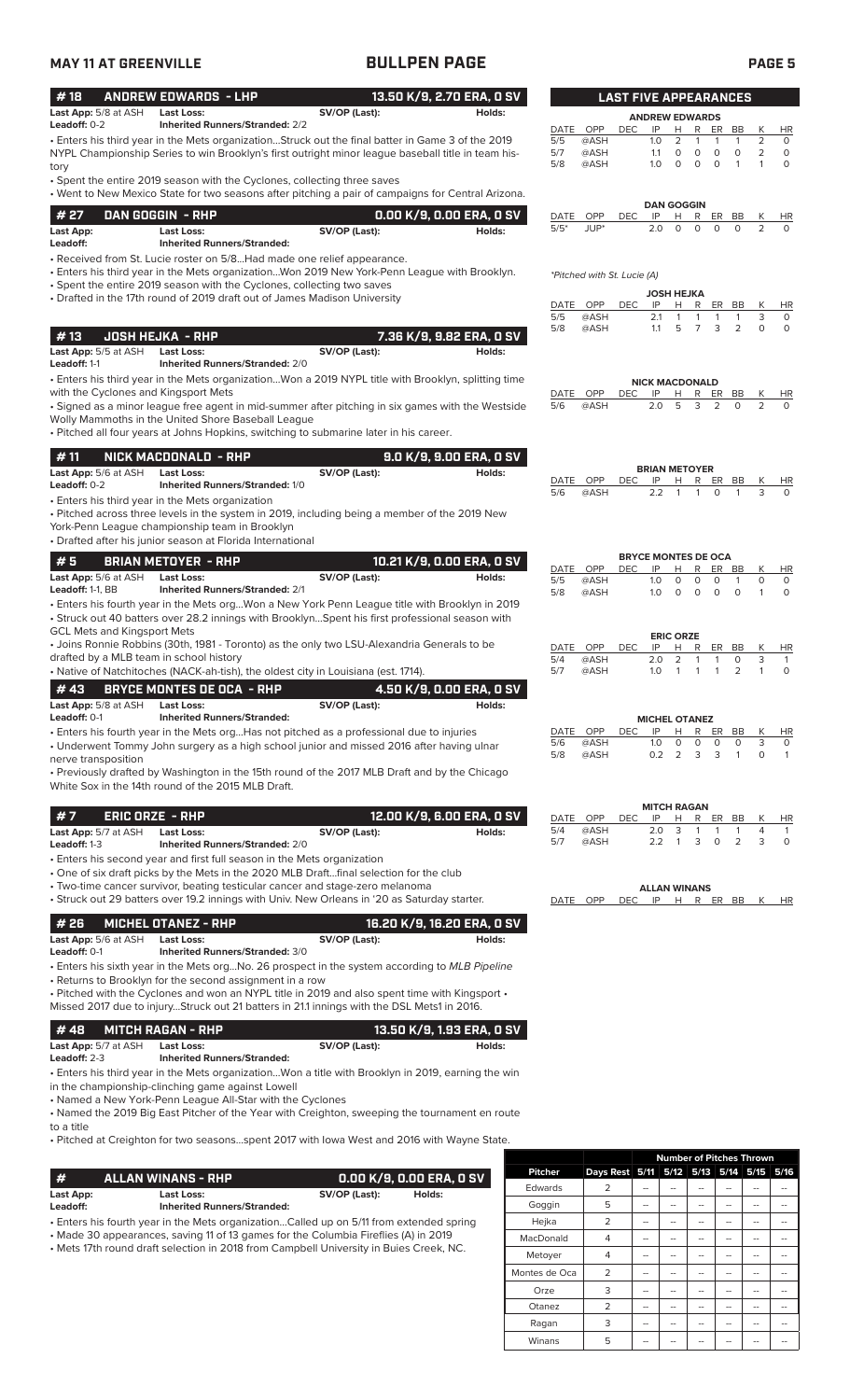## **MAY 11 AT GREENVILLE BULLPEN PAGE PAGE 5**

| #18                                         | <b>ANDREW EDWARDS - LHP</b>                                                                                                                                                                             |               | 13.50 K/9, 2.70 ERA, 0 SV  |            |                             | <b>LAST FIVE APPEARANCES</b> |                             |                               |                                   |                         |              |                |
|---------------------------------------------|---------------------------------------------------------------------------------------------------------------------------------------------------------------------------------------------------------|---------------|----------------------------|------------|-----------------------------|------------------------------|-----------------------------|-------------------------------|-----------------------------------|-------------------------|--------------|----------------|
| Last App: 5/8 at ASH                        | <b>Last Loss:</b>                                                                                                                                                                                       | SV/OP (Last): | Holds:                     |            |                             |                              | <b>ANDREW EDWARDS</b>       |                               |                                   |                         |              |                |
| Leadoff: 0-2                                | <b>Inherited Runners/Stranded: 2/2</b>                                                                                                                                                                  |               |                            | DATE       | OPP                         | <b>DEC</b>                   | IP                          | H.                            | R<br>ER                           | BB                      | К            | <b>HR</b>      |
|                                             | . Enters his third year in the Mets organizationStruck out the final batter in Game 3 of the 2019<br>NYPL Championship Series to win Brooklyn's first outright minor league baseball title in team his- |               |                            | 5/5<br>5/7 | @ASH<br>@ASH                |                              | 1.0<br>1.1                  | $\overline{2}$<br>$\mathbf 0$ | 1<br>$\mathbf{1}$<br>0<br>$\circ$ | $\mathbf{1}$<br>$\circ$ | 2<br>2       | 0<br>$\circ$   |
| tory                                        |                                                                                                                                                                                                         |               |                            | 5/8        | @ASH                        |                              | 1.0                         | $\circ$                       | $\mathsf O$<br>$\circ$            | $\mathbf{1}$            | $\mathbf{1}$ | $\circ$        |
|                                             | • Spent the entire 2019 season with the Cyclones, collecting three saves                                                                                                                                |               |                            |            |                             |                              |                             |                               |                                   |                         |              |                |
|                                             | • Went to New Mexico State for two seasons after pitching a pair of campaigns for Central Arizona.                                                                                                      |               |                            |            |                             |                              |                             | <b>DAN GOGGIN</b>             |                                   |                         |              |                |
| # 27                                        | DAN GOGGIN - RHP                                                                                                                                                                                        |               | 0.00 K/9, 0.00 ERA, 0 SV   | DATE       | OPP                         | <b>DEC</b>                   | IP                          | Н                             | R<br>ER.                          | BB                      | К            | HR             |
| Last App:<br>Leadoff:                       | <b>Last Loss:</b><br><b>Inherited Runners/Stranded:</b>                                                                                                                                                 | SV/OP (Last): | Holds:                     | $5/5*$     | JUP*                        |                              | 2.0                         | $\circ$                       | $\Omega$<br>$\Omega$              | $\Omega$                | 2            | $\Omega$       |
|                                             | • Received from St. Lucie roster on 5/8Had made one relief appearance.                                                                                                                                  |               |                            |            |                             |                              |                             |                               |                                   |                         |              |                |
|                                             | • Enters his third year in the Mets organizationWon 2019 New York-Penn League with Brooklyn.                                                                                                            |               |                            |            | *Pitched with St. Lucie (A) |                              |                             |                               |                                   |                         |              |                |
|                                             | • Spent the entire 2019 season with the Cyclones, collecting two saves                                                                                                                                  |               |                            |            |                             |                              |                             | JOSH HEJKA                    |                                   |                         |              |                |
|                                             | • Drafted in the 17th round of 2019 draft out of James Madison University                                                                                                                               |               |                            | DATE       | OPP                         | <b>DEC</b>                   | IP                          | Н                             | R<br>ER                           | BB                      | Κ            | HR             |
|                                             |                                                                                                                                                                                                         |               |                            | 5/5<br>5/8 | @ASH<br>@ASH                |                              | 2.1<br>1.1                  | 1<br>5                        | 1<br>1<br>$\overline{7}$<br>3     | $\mathbf{1}$<br>2       | 3<br>0       | 0<br>0         |
| #13                                         | <b>JOSH HEJKA - RHP</b>                                                                                                                                                                                 |               | 7.36 K/9, 9.82 ERA, 0 SV   |            |                             |                              |                             |                               |                                   |                         |              |                |
| Last App: 5/5 at ASH<br>Leadoff: 1-1        | <b>Last Loss:</b>                                                                                                                                                                                       | SV/OP (Last): | Holds:                     |            |                             |                              |                             |                               |                                   |                         |              |                |
|                                             | <b>Inherited Runners/Stranded: 2/0</b><br>. Enters his third year in the Mets organizationWon a 2019 NYPL title with Brooklyn, splitting time                                                           |               |                            |            |                             |                              |                             |                               |                                   |                         |              |                |
| with the Cyclones and Kingsport Mets        |                                                                                                                                                                                                         |               |                            | DATE       | <b>OPP</b>                  | <b>DEC</b>                   | <b>NICK MACDONALD</b><br>IP | H                             | R<br>ER                           | BB                      | Κ            | HR             |
|                                             | • Signed as a minor league free agent in mid-summer after pitching in six games with the Westside                                                                                                       |               |                            | 5/6        | @ASH                        |                              | 2.0                         | 5                             | 3<br>2                            | $\Omega$                | 2            | $\circ$        |
|                                             | Wolly Mammoths in the United Shore Baseball League                                                                                                                                                      |               |                            |            |                             |                              |                             |                               |                                   |                         |              |                |
|                                             | . Pitched all four years at Johns Hopkins, switching to submarine later in his career.                                                                                                                  |               |                            |            |                             |                              |                             |                               |                                   |                         |              |                |
| #11                                         | NICK MACDONALD - RHP                                                                                                                                                                                    |               | 9.0 K/9, 9.00 ERA, 0 SV    |            |                             |                              |                             |                               |                                   |                         |              |                |
| Last App: 5/6 at ASH                        | <b>Last Loss:</b>                                                                                                                                                                                       | SV/OP (Last): | Holds:                     | DATE       | OPP                         | <b>DEC</b>                   | <b>BRIAN METOYER</b><br>IP  | H                             | R<br>ER                           | BB                      | Κ            | HR             |
| Leadoff: 0-2                                | Inherited Runners/Stranded: 1/0                                                                                                                                                                         |               |                            | 5/6        | @ASH                        |                              | 2.2                         | $\mathbf{1}$                  | 1<br>$\Omega$                     |                         | 3            | $\Omega$       |
|                                             | • Enters his third year in the Mets organization<br>• Pitched across three levels in the system in 2019, including being a member of the 2019 New                                                       |               |                            |            |                             |                              |                             |                               |                                   |                         |              |                |
|                                             | York-Penn League championship team in Brooklyn                                                                                                                                                          |               |                            |            |                             |                              |                             |                               |                                   |                         |              |                |
|                                             | • Drafted after his junior season at Florida International                                                                                                                                              |               |                            |            |                             |                              |                             |                               |                                   |                         |              |                |
| #5                                          | <b>BRIAN METOYER - RHP</b>                                                                                                                                                                              |               | 10.21 K/9, 0.00 ERA, 0 SV  |            |                             |                              | <b>BRYCE MONTES DE OCA</b>  |                               |                                   |                         |              |                |
| Last App: 5/6 at ASH                        | <b>Last Loss:</b>                                                                                                                                                                                       | SV/OP (Last): | Holds:                     | 5/5        | DATE OPP<br>@ASH            | DEC                          | IP<br>1.0                   | н<br>0                        | R<br>ER<br>0<br>0                 | BB<br>$\mathbf{1}$      | K<br>0       | HR<br>$\circ$  |
| Leadoff: 1-1, BB                            | <b>Inherited Runners/Stranded: 2/1</b>                                                                                                                                                                  |               |                            | 5/8        | @ASH                        |                              | 1.0                         | $\Omega$                      | $\Omega$<br>$\Omega$              | $\Omega$                | $\mathbf{1}$ | $\circ$        |
|                                             | . Enters his fourth year in the Mets orgWon a New York Penn League title with Brooklyn in 2019                                                                                                          |               |                            |            |                             |                              |                             |                               |                                   |                         |              |                |
| <b>GCL Mets and Kingsport Mets</b>          | • Struck out 40 batters over 28.2 innings with BrooklynSpent his first professional season with                                                                                                         |               |                            |            |                             |                              |                             |                               |                                   |                         |              |                |
|                                             | • Joins Ronnie Robbins (30th, 1981 - Toronto) as the only two LSU-Alexandria Generals to be                                                                                                             |               |                            | DATE       | OPP                         | DEC.                         | IP                          | <b>ERIC ORZE</b><br>н         | R<br>ER                           | BB                      | K            | HR             |
| drafted by a MLB team in school history     |                                                                                                                                                                                                         |               |                            | 5/4        | @ASH                        |                              | 2.0                         | 2                             | 1<br>$\mathbf{1}$                 | 0                       | 3            | $\mathbf{1}$   |
|                                             | • Native of Natchitoches (NACK-ah-tish), the oldest city in Louisiana (est. 1714).                                                                                                                      |               |                            | 5/7        | @ASH                        |                              | 1.0                         | $\mathbf{1}$                  | $\mathbf{1}$<br>-1                | 2                       | 1            | $\circ$        |
| #43                                         | <b>BRYCE MONTES DE OCA - RHP</b>                                                                                                                                                                        |               | 4.50 K/9. 0.00 FRA. 0 SV   |            |                             |                              |                             |                               |                                   |                         |              |                |
| <b>Last App:</b> 5/8 at ASH<br>Leadoff: 0-1 | <b>Last Loss:</b><br><b>Inherited Runners/Stranded:</b>                                                                                                                                                 | SV/OP (Last): | Holds:                     |            |                             |                              | <b>MICHEL OTANEZ</b>        |                               |                                   |                         |              |                |
|                                             | • Enters his fourth year in the Mets orgHas not pitched as a professional due to injuries                                                                                                               |               |                            | DATE       | OPP                         | DEC                          | ΙP                          | н                             | R<br>ER.                          | BB                      | К            | HR             |
|                                             | • Underwent Tommy John surgery as a high school junior and missed 2016 after having ulnar                                                                                                               |               |                            | 5/6        | @ASH                        |                              | 1.0                         | 0<br>2                        | 0<br>0<br>3                       | 0<br>$\mathbf{1}$       | 3            | 0              |
| nerve transposition                         |                                                                                                                                                                                                         |               |                            | 5/8        | @ASH                        |                              | 0.2                         |                               | 3                                 |                         | $\circ$      | $\overline{1}$ |
|                                             | • Previously drafted by Washington in the 15th round of the 2017 MLB Draft and by the Chicago<br>White Sox in the 14th round of the 2015 MLB Draft.                                                     |               |                            |            |                             |                              |                             |                               |                                   |                         |              |                |
|                                             |                                                                                                                                                                                                         |               |                            |            |                             |                              |                             |                               |                                   |                         |              |                |
| #7                                          | <b>ERIC ORZE - RHP</b>                                                                                                                                                                                  |               | 12.00 K/9, 6.00 ERA, 0 SV  |            | DATE OPP                    | <b>DEC</b>                   | <b>MITCH RAGAN</b><br>IP    | н                             | R<br>ER                           | BB                      | K            | HR             |
| Last App: 5/7 at ASH                        | Last Loss:                                                                                                                                                                                              | SV/OP (Last): | Holds:                     | 5/4        | @ASH                        |                              | 2.0                         | 3                             | 1<br>-1                           | $\mathbf{1}$            | 4            | 1              |
| Leadoff: 1-3                                | <b>Inherited Runners/Stranded: 2/0</b>                                                                                                                                                                  |               |                            | 5/7        | @ASH                        |                              | 2.2                         | -1                            | 3<br>0                            | 2                       | 3            | 0              |
|                                             | • Enters his second year and first full season in the Mets organization                                                                                                                                 |               |                            |            |                             |                              |                             |                               |                                   |                         |              |                |
|                                             | • One of six draft picks by the Mets in the 2020 MLB Draftfinal selection for the club<br>• Two-time cancer survivor, beating testicular cancer and stage-zero melanoma                                 |               |                            |            |                             |                              | <b>ALLAN WINANS</b>         |                               |                                   |                         |              |                |
|                                             | • Struck out 29 batters over 19.2 innings with Univ. New Orleans in '20 as Saturday starter.                                                                                                            |               |                            | DATE       | OPP                         | <b>DEC</b>                   | IP                          | H R ER BB                     |                                   |                         | K            | HR             |
| #26                                         |                                                                                                                                                                                                         |               | 16.20 K/9, 16.20 ERA, 0 SV |            |                             |                              |                             |                               |                                   |                         |              |                |
| Last App: 5/6 at ASH                        | <b>MICHEL OTANEZ - RHP</b><br><b>Last Loss:</b>                                                                                                                                                         | SV/OP (Last): | Holds:                     |            |                             |                              |                             |                               |                                   |                         |              |                |
| Leadoff: 0-1                                | <b>Inherited Runners/Stranded: 3/0</b>                                                                                                                                                                  |               |                            |            |                             |                              |                             |                               |                                   |                         |              |                |
|                                             | • Enters his sixth year in the Mets orgNo. 26 prospect in the system according to MLB Pipeline                                                                                                          |               |                            |            |                             |                              |                             |                               |                                   |                         |              |                |
|                                             | • Returns to Brooklyn for the second assignment in a row                                                                                                                                                |               |                            |            |                             |                              |                             |                               |                                   |                         |              |                |
|                                             | . Pitched with the Cyclones and won an NYPL title in 2019 and also spent time with Kingsport .<br>Missed 2017 due to injuryStruck out 21 batters in 21.1 innings with the DSL Mets1 in 2016.            |               |                            |            |                             |                              |                             |                               |                                   |                         |              |                |
|                                             |                                                                                                                                                                                                         |               |                            |            |                             |                              |                             |                               |                                   |                         |              |                |
| #48                                         | <b>MITCH RAGAN - RHP</b>                                                                                                                                                                                |               | 13.50 K/9, 1.93 ERA, 0 SV  |            |                             |                              |                             |                               |                                   |                         |              |                |
| Last App: 5/7 at ASH<br>Leadoff: 2-3        | <b>Last Loss:</b><br><b>Inherited Runners/Stranded:</b>                                                                                                                                                 | SV/OP (Last): | Holds:                     |            |                             |                              |                             |                               |                                   |                         |              |                |
|                                             | Enters his third year in the Mets organizationWon a title with Brooklyn in 2019, earning the win                                                                                                        |               |                            |            |                             |                              |                             |                               |                                   |                         |              |                |
|                                             | in the championship-clinching game against Lowell                                                                                                                                                       |               |                            |            |                             |                              |                             |                               |                                   |                         |              |                |
|                                             | • Named a New York-Penn League All-Star with the Cyclones                                                                                                                                               |               |                            |            |                             |                              |                             |                               |                                   |                         |              |                |
| to a title                                  | • Named the 2019 Big East Pitcher of the Year with Creighton, sweeping the tournament en route                                                                                                          |               |                            |            |                             |                              |                             |                               |                                   |                         |              |                |

• Pitched at Creighton for two seasons...spent 2017 with Iowa West and 2016 with Wayne State.

| <b>#</b>              | ALLAN WINANS - RHP                                                                      |               | 0.00 K/9. 0.00 ERA. 0 SV |  |  |  |
|-----------------------|-----------------------------------------------------------------------------------------|---------------|--------------------------|--|--|--|
| Last App:<br>Leadoff: | Last Loss:<br><b>Inherited Runners/Stranded:</b>                                        | SV/OP (Last): | Holds:                   |  |  |  |
|                       | • Enters his fourth year in the Mets organizationCalled up on 5/11 from extended spring |               |                          |  |  |  |

• Made 30 appearances, saving 11 of 13 games for the Columbia Fireflies (A) in 2019

• Mets 17th round draft selection in 2018 from Campbell University in Buies Creek, NC.

|                |                | <b>Number of Pitches Thrown</b> |  |           |      |      |      |
|----------------|----------------|---------------------------------|--|-----------|------|------|------|
| <b>Pitcher</b> | Days Rest 5/11 |                                 |  | 5/12 5/13 | 5/14 | 5/15 | 5/16 |
| Edwards        | 2              |                                 |  |           |      |      |      |
| Goggin         | 5              |                                 |  |           |      |      |      |
| Hejka          | $\overline{2}$ |                                 |  |           |      |      |      |
| MacDonald      | 4              | --                              |  |           |      |      |      |
| Metoyer        | $\overline{4}$ |                                 |  |           | --   |      |      |
| Montes de Oca  | 2              |                                 |  |           |      |      |      |
| Orze           | 3              |                                 |  |           |      |      |      |
| Otanez         | $\overline{2}$ |                                 |  |           |      |      |      |
| Ragan          | 3              |                                 |  |           |      |      |      |
| Winans         | 5              |                                 |  |           |      |      |      |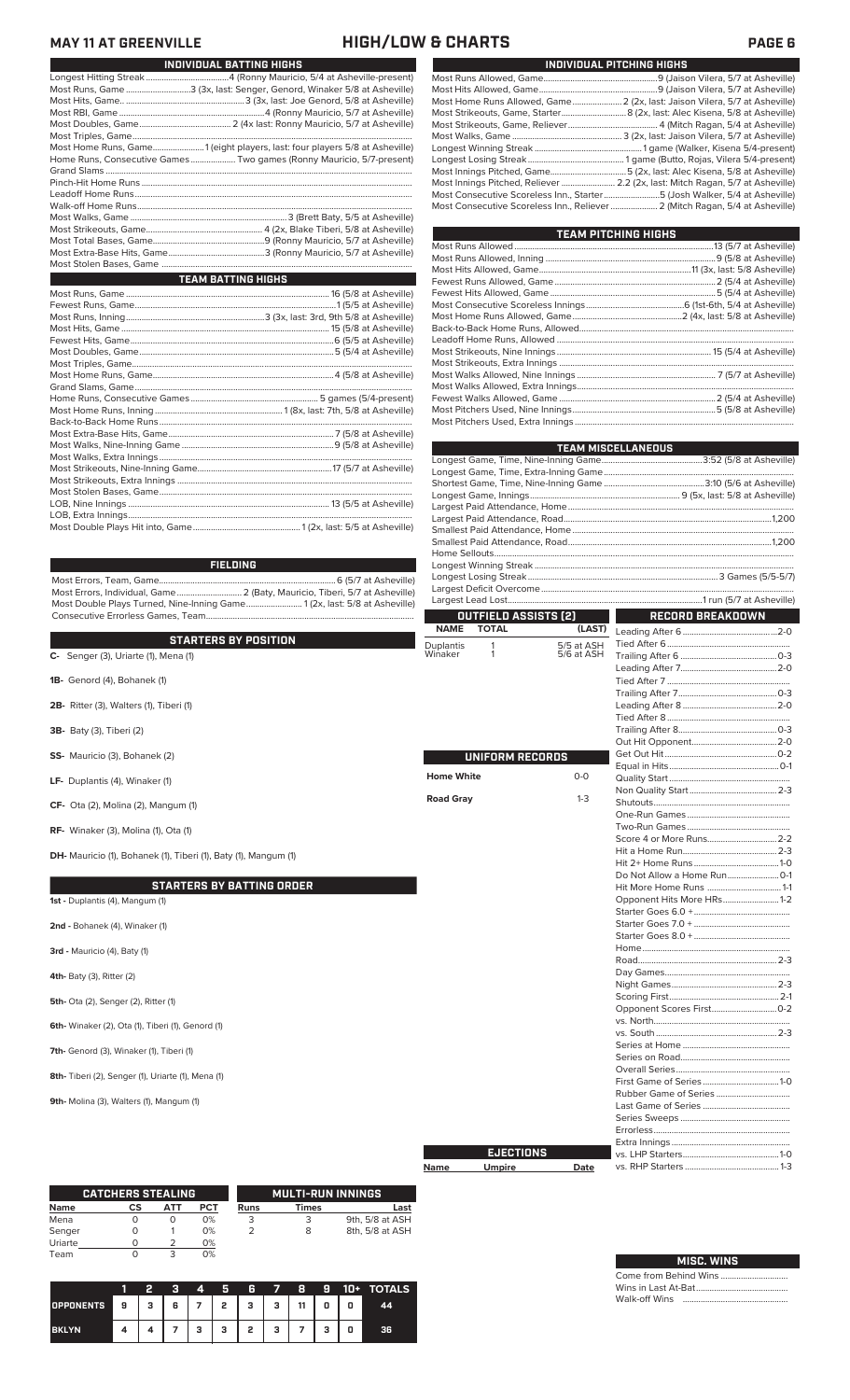## **MAY 11 AT GREENVILLE HIGH/LOW & CHARTS PAGE 6**

|                                                                            | INDIVIDUAL BATTING HIGHS |
|----------------------------------------------------------------------------|--------------------------|
|                                                                            |                          |
| Most Runs, Game 3 (3x, last: Senger, Genord, Winaker 5/8 at Asheville)     |                          |
|                                                                            |                          |
|                                                                            |                          |
|                                                                            |                          |
|                                                                            |                          |
|                                                                            |                          |
| Most Home Runs, Game1 (eight players, last: four players 5/8 at Asheville) |                          |
| Home Runs, Consecutive Games  Two games (Ronny Mauricio, 5/7-present)      |                          |
|                                                                            |                          |
|                                                                            |                          |
|                                                                            |                          |
|                                                                            |                          |
|                                                                            |                          |
|                                                                            |                          |
|                                                                            |                          |
|                                                                            |                          |
|                                                                            |                          |
| <b>TEAM BATTING HIGHS</b>                                                  |                          |
|                                                                            |                          |
|                                                                            |                          |
|                                                                            |                          |
|                                                                            |                          |
|                                                                            |                          |
|                                                                            |                          |
|                                                                            |                          |
|                                                                            |                          |
|                                                                            |                          |
|                                                                            |                          |
|                                                                            |                          |
|                                                                            |                          |
|                                                                            |                          |
|                                                                            |                          |
|                                                                            |                          |
|                                                                            |                          |
|                                                                            |                          |
|                                                                            |                          |

LOB, Nine Innings .......................................................................................... 13 (5/5 at Asheville) LOB, Extra Innings............................................................................................................................... Most Double Plays Hit into, Game................................................ 1 (2x, last: 5/5 at Asheville)

### **FIELDING**

Most Errors, Team, Game...............................................................................6 (5/7 at Asheville) Most Errors, Individual, Game............................. 2 (Baty, Mauricio, Tiberi, 5/7 at Asheville) Most Double Plays Turned, Nine-Inning Game......................... 1 (2x, last: 5/8 at Asheville) Consecutive Errorless Games, Team.............................................................................................

|                                                                        | <b>NAME</b><br><b>TOTAL</b> | (LAST)     | Leading After 6         |
|------------------------------------------------------------------------|-----------------------------|------------|-------------------------|
| <b>STARTERS BY POSITION</b>                                            | <b>Duplantis</b><br>1       | 5/5 at ASH | Tied After 6            |
| $C-$ Senger (3), Uriarte (1), Mena (1)                                 | 1<br>Winaker                | 5/6 at ASH | Trailing After 6        |
|                                                                        |                             |            | Leading After 7         |
| 1B- Genord (4), Bohanek (1)                                            |                             |            | Tied After 7            |
|                                                                        |                             |            | Trailing After 7        |
| 2B- Ritter (3), Walters (1), Tiberi (1)                                |                             |            | Leading After 8         |
|                                                                        |                             |            | Tied After 8            |
| 3B- Baty (3), Tiberi (2)                                               |                             |            | Trailing After 8        |
|                                                                        |                             |            | Out Hit Opponent        |
| SS- Mauricio (3), Bohanek (2)                                          | <b>UNIFORM RECORDS</b>      |            | Get Out Hit             |
|                                                                        |                             |            | Equal in Hits           |
| LF- Duplantis (4), Winaker (1)                                         | <b>Home White</b>           | $0-0$      | <b>Quality Start </b>   |
|                                                                        |                             |            | Non Quality Start       |
| CF- Ota (2), Molina (2), Mangum (1)                                    | <b>Road Gray</b>            | $1-3$      |                         |
|                                                                        |                             |            | One-Run Games           |
| <b>RF-</b> Winaker (3), Molina (1), Ota (1)                            |                             |            | Two-Run Games           |
|                                                                        |                             |            | Score 4 or More Runs    |
| <b>DH-</b> Mauricio (1), Bohanek (1), Tiberi (1), Baty (1), Mangum (1) |                             |            | Hit a Home Run          |
|                                                                        |                             |            | Hit 2+ Home Runs        |
|                                                                        |                             |            | Do Not Allow a Home Run |
| <b>STARTERS BY BATTING ORDER</b>                                       |                             |            | Hit More Home Runs      |
| 1st - Duplantis (4), Mangum (1)                                        |                             |            | Opponent Hits More HRs  |
|                                                                        |                             |            | Starter Goes 6.0 +      |
| 2nd - Bohanek (4), Winaker (1)                                         |                             |            | Starter Goes 7.0 +      |
|                                                                        |                             |            | Starter Goes 8.0 +      |
| 3rd - Mauricio (4), Baty (1)                                           |                             |            |                         |
|                                                                        |                             |            |                         |
| <b>4th-</b> Baty (3), Ritter (2)                                       |                             |            | Day Games               |
|                                                                        |                             |            | Night Games             |
| 5th- Ota (2), Senger (2), Ritter (1)                                   |                             |            | Scoring First           |
|                                                                        |                             |            | Opponent Scores First   |
| 6th- Winaker (2), Ota (1), Tiberi (1), Genord (1)                      |                             |            |                         |
|                                                                        |                             |            |                         |
| 7th- Genord (3), Winaker (1), Tiberi (1)                               |                             |            | Series at Home          |
|                                                                        |                             |            | Series on Road          |
| 8th- Tiberi (2), Senger (1), Uriarte (1), Mena (1)                     |                             |            | Overall Series          |
|                                                                        |                             |            | First Game of Series    |
|                                                                        |                             |            | Rubber Game of Series   |
| 9th- Molina (3), Walters (1), Mangum (1)                               |                             |            | Last Game of Series     |
|                                                                        |                             |            | Carios Cursons          |

**Name Umpire Date EJECTIONS**

|         | <b>CATCHERS STEALING</b> |                      |     |            |             | <b>MULTI-RUN INNINGS</b> |                 |
|---------|--------------------------|----------------------|-----|------------|-------------|--------------------------|-----------------|
| Name    |                          | СS                   | АТТ | <b>PCT</b> | <b>Runs</b> | Times                    | Last            |
| Mena    |                          |                      | O   | 0%         |             |                          | 9th, 5/8 at ASH |
| Senger  |                          |                      |     | 0%         |             | 8                        | 8th, 5/8 at ASH |
| Uriarte |                          | $\scriptstyle\prime$ |     | 0%         |             |                          |                 |
| Team    |                          |                      |     | 0%         |             |                          |                 |

|                  |     | 2 | я | 4              | Я | 6            | 7 | -8 | 9 | $10+$ | <b>TOTALS</b> |
|------------------|-----|---|---|----------------|---|--------------|---|----|---|-------|---------------|
| <b>OPPONENTS</b> | 79. | з | 6 | $\overline{7}$ | 2 | $\mathbf{3}$ | з | 11 | 0 | 0     | 44            |
| <b>BKLYN</b>     |     |   |   | з              | з | 2            | з |    | 3 | 0     | 36            |

| INDIVIDUAL PITCHING HIGHS                                                     |
|-------------------------------------------------------------------------------|
|                                                                               |
|                                                                               |
| Most Home Runs Allowed, Game 2 (2x, last: Jaison Vilera, 5/7 at Asheville)    |
| Most Strikeouts, Game, Starter 8 (2x, last: Alec Kisena, 5/8 at Asheville)    |
|                                                                               |
|                                                                               |
|                                                                               |
|                                                                               |
|                                                                               |
| Most Innings Pitched, Reliever  2.2 (2x, last: Mitch Ragan, 5/7 at Asheville) |
| Most Consecutive Scoreless Inn., Starter5 (Josh Walker, 5/4 at Asheville)     |
|                                                                               |
|                                                                               |

| <b>TEAM PITCHING HIGHS</b> |  |
|----------------------------|--|
|                            |  |
|                            |  |
|                            |  |
|                            |  |
|                            |  |
|                            |  |
|                            |  |
|                            |  |
|                            |  |
|                            |  |
|                            |  |
|                            |  |
|                            |  |
|                            |  |
|                            |  |
|                            |  |

|                      | <b>TEAM MISCELLANEOUS</b> |
|----------------------|---------------------------|
|                      |                           |
|                      |                           |
|                      |                           |
|                      |                           |
|                      |                           |
|                      |                           |
|                      |                           |
|                      |                           |
|                      |                           |
|                      |                           |
|                      |                           |
|                      |                           |
|                      |                           |
| OUTFIELD ASSISTS [2] | RECORD BREAKDOWN          |

| .                     |                           |  |
|-----------------------|---------------------------|--|
| 2)                    | RECORD BREAKDOWN          |  |
| (LAST)                |                           |  |
| 5 at ASH<br>'6 at ASH |                           |  |
|                       |                           |  |
|                       |                           |  |
|                       |                           |  |
|                       |                           |  |
|                       |                           |  |
|                       |                           |  |
|                       |                           |  |
|                       |                           |  |
|                       |                           |  |
|                       |                           |  |
| $0 - 0$               |                           |  |
|                       |                           |  |
| $1 - 3$               |                           |  |
|                       |                           |  |
|                       |                           |  |
|                       |                           |  |
|                       |                           |  |
|                       |                           |  |
|                       |                           |  |
|                       | Hit More Home Runs  1-1   |  |
|                       | Opponent Hits More HRs1-2 |  |
|                       |                           |  |
|                       |                           |  |
|                       |                           |  |
|                       |                           |  |
|                       |                           |  |
|                       |                           |  |
|                       |                           |  |
|                       |                           |  |
|                       |                           |  |
|                       |                           |  |
|                       |                           |  |
|                       |                           |  |
|                       |                           |  |
|                       |                           |  |
|                       |                           |  |
|                       |                           |  |
|                       |                           |  |
|                       |                           |  |
|                       |                           |  |
|                       |                           |  |
|                       |                           |  |
|                       |                           |  |

| <b>MISC. WINS</b> |  |  |  |
|-------------------|--|--|--|
|                   |  |  |  |
|                   |  |  |  |
|                   |  |  |  |

vs. RHP Starters ..........................................1-3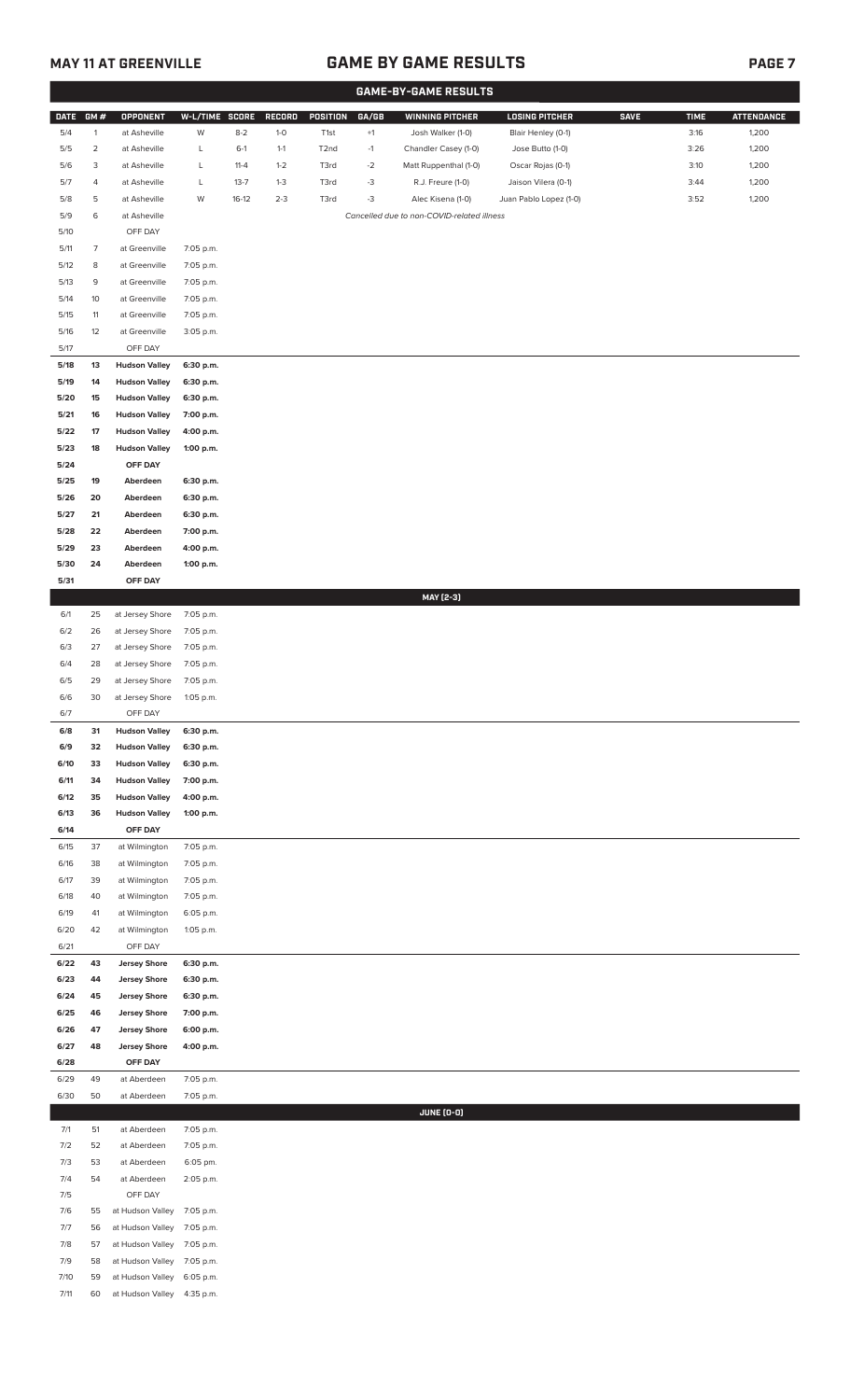## **MAY 11 AT GREENVILLE GAME BY GAME RESULTS**

|--|--|--|

|             |                |                      |                |          |         |                   |       | <b>GAME-BY-GAME RESULTS</b>                |                        |             |             |                   |
|-------------|----------------|----------------------|----------------|----------|---------|-------------------|-------|--------------------------------------------|------------------------|-------------|-------------|-------------------|
| <b>DATE</b> | GM#            | <b>OPPONENT</b>      | W-L/TIME SCORE |          | RECORD  | POSITION          | GA/GB | <b>WINNING PITCHER</b>                     | <b>LOSING PITCHER</b>  | <b>SAVE</b> | <b>TIME</b> | <b>ATTENDANCE</b> |
| 5/4         | $\mathbf{1}$   | at Asheville         | W              | $8 - 2$  | $1-0$   | T1st              | $+1$  | Josh Walker (1-0)                          | Blair Henley (0-1)     |             | 3:16        | 1,200             |
| 5/5         | $\overline{c}$ | at Asheville         | L              | $6-1$    | $1 - 1$ | T <sub>2</sub> nd | $-1$  | Chandler Casey (1-0)                       | Jose Butto (1-0)       |             | 3:26        | 1,200             |
| 5/6         | 3              | at Asheville         | L              | $11 - 4$ | $1 - 2$ | T3rd              | $-2$  | Matt Ruppenthal (1-0)                      | Oscar Rojas (0-1)      |             | 3:10        | 1,200             |
| 5/7         | 4              | at Asheville         | L              | $13 - 7$ | $1-3$   | T3rd              | $-3$  | R.J. Freure (1-0)                          | Jaison Vilera (0-1)    |             | 3:44        | 1,200             |
| 5/8         | 5              | at Asheville         | W              | $16-12$  | $2 - 3$ | T3rd              | $-3$  | Alec Kisena (1-0)                          | Juan Pablo Lopez (1-0) |             | 3:52        | 1,200             |
| 5/9         | 6              | at Asheville         |                |          |         |                   |       | Cancelled due to non-COVID-related illness |                        |             |             |                   |
| 5/10        |                | OFF DAY              |                |          |         |                   |       |                                            |                        |             |             |                   |
| 5/11        | $\overline{7}$ | at Greenville        | 7:05 p.m.      |          |         |                   |       |                                            |                        |             |             |                   |
| 5/12        | 8              | at Greenville        | 7:05 p.m.      |          |         |                   |       |                                            |                        |             |             |                   |
| 5/13        | 9              | at Greenville        | 7:05 p.m.      |          |         |                   |       |                                            |                        |             |             |                   |
|             |                |                      |                |          |         |                   |       |                                            |                        |             |             |                   |
| 5/14        | 10             | at Greenville        | 7:05 p.m.      |          |         |                   |       |                                            |                        |             |             |                   |
| 5/15        | 11             | at Greenville        | 7:05 p.m.      |          |         |                   |       |                                            |                        |             |             |                   |
| 5/16        | 12             | at Greenville        | 3:05 p.m.      |          |         |                   |       |                                            |                        |             |             |                   |
| 5/17        |                | OFF DAY              |                |          |         |                   |       |                                            |                        |             |             |                   |
| 5/18        | 13             | <b>Hudson Valley</b> | 6:30 p.m.      |          |         |                   |       |                                            |                        |             |             |                   |
| 5/19        | 14             | <b>Hudson Valley</b> | 6:30 p.m.      |          |         |                   |       |                                            |                        |             |             |                   |
| 5/20        | 15             | <b>Hudson Valley</b> | 6:30 p.m.      |          |         |                   |       |                                            |                        |             |             |                   |
| 5/21        | 16             | <b>Hudson Valley</b> | 7:00 p.m.      |          |         |                   |       |                                            |                        |             |             |                   |
| 5/22        | 17             | <b>Hudson Valley</b> | 4:00 p.m.      |          |         |                   |       |                                            |                        |             |             |                   |
| 5/23        | 18             | <b>Hudson Valley</b> | 1:00 p.m.      |          |         |                   |       |                                            |                        |             |             |                   |
| 5/24        |                | OFF DAY              |                |          |         |                   |       |                                            |                        |             |             |                   |
| 5/25        | 19             | Aberdeen             | 6:30 p.m.      |          |         |                   |       |                                            |                        |             |             |                   |
| 5/26        | 20             | Aberdeen             | 6:30 p.m.      |          |         |                   |       |                                            |                        |             |             |                   |
| 5/27        | 21             | Aberdeen             | 6:30 p.m.      |          |         |                   |       |                                            |                        |             |             |                   |
| 5/28        | 22             | Aberdeen             | 7:00 p.m.      |          |         |                   |       |                                            |                        |             |             |                   |
| 5/29        | 23             | Aberdeen             | 4:00 p.m.      |          |         |                   |       |                                            |                        |             |             |                   |
| 5/30        | 24             | Aberdeen             | 1:00 p.m.      |          |         |                   |       |                                            |                        |             |             |                   |
| 5/31        |                | OFF DAY              |                |          |         |                   |       |                                            |                        |             |             |                   |
|             |                |                      |                |          |         |                   |       | MAY [2-3]                                  |                        |             |             |                   |
| 6/1         | 25             | at Jersey Shore      | 7:05 p.m.      |          |         |                   |       |                                            |                        |             |             |                   |
| 6/2         | 26             | at Jersey Shore      | 7:05 p.m.      |          |         |                   |       |                                            |                        |             |             |                   |
| 6/3         | 27             | at Jersey Shore      | 7:05 p.m.      |          |         |                   |       |                                            |                        |             |             |                   |
| 6/4         | 28             | at Jersey Shore      | 7:05 p.m.      |          |         |                   |       |                                            |                        |             |             |                   |
| 6/5         | 29             | at Jersey Shore      | 7:05 p.m.      |          |         |                   |       |                                            |                        |             |             |                   |
| 6/6         | 30             | at Jersey Shore      | 1:05 p.m.      |          |         |                   |       |                                            |                        |             |             |                   |
| 6/7         |                | OFF DAY              |                |          |         |                   |       |                                            |                        |             |             |                   |
| 6/8         | 31             | <b>Hudson Valley</b> | 6:30 p.m.      |          |         |                   |       |                                            |                        |             |             |                   |
| 6/9         | 32             | <b>Hudson Valley</b> | 6:30 p.m.      |          |         |                   |       |                                            |                        |             |             |                   |
| 6/10        | 33             | <b>Hudson Valley</b> | 6:30 p.m.      |          |         |                   |       |                                            |                        |             |             |                   |
| 6/11        | 34             | <b>Hudson Valley</b> | 7:00 p.m.      |          |         |                   |       |                                            |                        |             |             |                   |
| 6/12        | 35             | <b>Hudson Valley</b> | 4:00 p.m.      |          |         |                   |       |                                            |                        |             |             |                   |
| 6/13        | 36             | <b>Hudson Valley</b> | 1:00 p.m.      |          |         |                   |       |                                            |                        |             |             |                   |
| 6/14        |                | OFF DAY              |                |          |         |                   |       |                                            |                        |             |             |                   |
| 6/15        | 37             | at Wilmington        | 7:05 p.m.      |          |         |                   |       |                                            |                        |             |             |                   |
| 6/16        | 38             | at Wilmington        | 7:05 p.m.      |          |         |                   |       |                                            |                        |             |             |                   |
| 6/17        | 39             | at Wilmington        | 7:05 p.m.      |          |         |                   |       |                                            |                        |             |             |                   |
| 6/18        | 40             | at Wilmington        | 7:05 p.m.      |          |         |                   |       |                                            |                        |             |             |                   |
| 6/19        | 41             | at Wilmington        | 6:05 p.m.      |          |         |                   |       |                                            |                        |             |             |                   |
| 6/20        | 42             | at Wilmington        | 1:05 p.m.      |          |         |                   |       |                                            |                        |             |             |                   |
| 6/21        |                | OFF DAY              |                |          |         |                   |       |                                            |                        |             |             |                   |
| 6/22        | 43             | <b>Jersey Shore</b>  | 6:30 p.m.      |          |         |                   |       |                                            |                        |             |             |                   |
| 6/23        | 44             | <b>Jersey Shore</b>  | 6:30 p.m.      |          |         |                   |       |                                            |                        |             |             |                   |
| 6/24        | 45             | <b>Jersey Shore</b>  | 6:30 p.m.      |          |         |                   |       |                                            |                        |             |             |                   |
| 6/25        | 46             | <b>Jersey Shore</b>  | 7:00 p.m.      |          |         |                   |       |                                            |                        |             |             |                   |
| 6/26        | 47             | <b>Jersey Shore</b>  | 6:00 p.m.      |          |         |                   |       |                                            |                        |             |             |                   |
| 6/27        | 48             | <b>Jersey Shore</b>  | 4:00 p.m.      |          |         |                   |       |                                            |                        |             |             |                   |
| 6/28        |                | OFF DAY              |                |          |         |                   |       |                                            |                        |             |             |                   |
| 6/29        | 49             | at Aberdeen          | 7:05 p.m.      |          |         |                   |       |                                            |                        |             |             |                   |
| 6/30        | 50             | at Aberdeen          | 7:05 p.m.      |          |         |                   |       |                                            |                        |             |             |                   |
|             |                |                      |                |          |         |                   |       | <b>JUNE (0-0)</b>                          |                        |             |             |                   |
| 7/1         | 51             | at Aberdeen          | 7:05 p.m.      |          |         |                   |       |                                            |                        |             |             |                   |
| 7/2         | 52             | at Aberdeen          | 7:05 p.m.      |          |         |                   |       |                                            |                        |             |             |                   |
| 7/3         | 53             | at Aberdeen          | 6:05 pm.       |          |         |                   |       |                                            |                        |             |             |                   |
| 7/4         | 54             | at Aberdeen          | 2:05 p.m.      |          |         |                   |       |                                            |                        |             |             |                   |
| 7/5         |                | OFF DAY              |                |          |         |                   |       |                                            |                        |             |             |                   |
| 7/6         | 55             | at Hudson Valley     | 7:05 p.m.      |          |         |                   |       |                                            |                        |             |             |                   |
| 7/7         | 56             | at Hudson Valley     | 7:05 p.m.      |          |         |                   |       |                                            |                        |             |             |                   |
| 7/8         | 57             | at Hudson Valley     | 7:05 p.m.      |          |         |                   |       |                                            |                        |             |             |                   |
| 7/9         | 58             | at Hudson Valley     | 7:05 p.m.      |          |         |                   |       |                                            |                        |             |             |                   |
| 7/10        | 59             | at Hudson Valley     | 6:05 p.m.      |          |         |                   |       |                                            |                        |             |             |                   |
| 7/11        | 60             | at Hudson Valley     | 4:35 p.m.      |          |         |                   |       |                                            |                        |             |             |                   |
|             |                |                      |                |          |         |                   |       |                                            |                        |             |             |                   |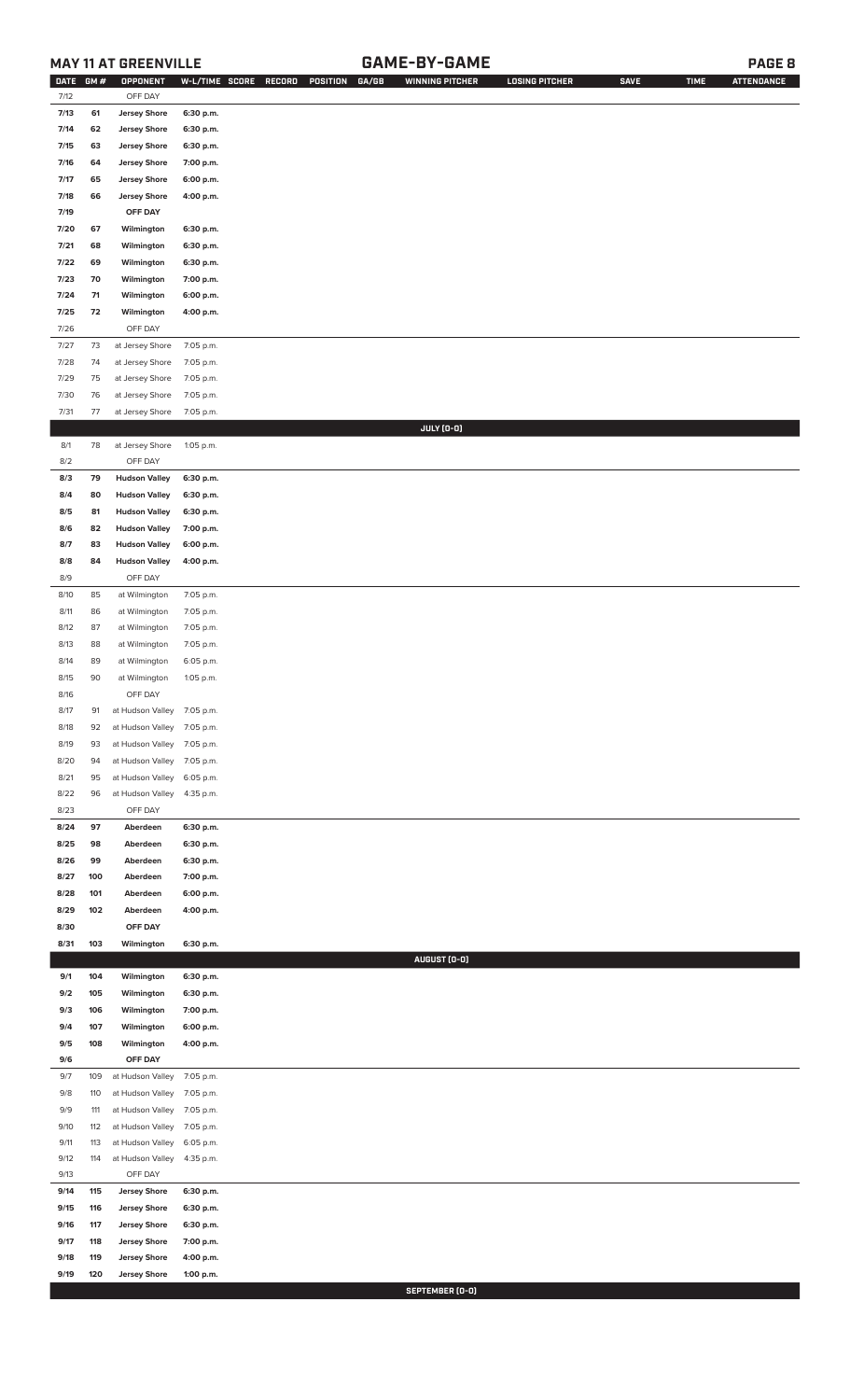## **MAY 11 AT GREENVILLE GAME-BY-GAME PAGE 8**

| <b>DATE</b> | GM# | OPPONENT                   | W-L/TIME SCORE | GA/GB<br>RECORD<br>POSITION | <b>WINNING PITCHER</b> | <b>LOSING PITCHER</b> | <b>SAVE</b> | <b>TIME</b> | <b>ATTENDANCE</b> |
|-------------|-----|----------------------------|----------------|-----------------------------|------------------------|-----------------------|-------------|-------------|-------------------|
| 7/12        |     | OFF DAY                    |                |                             |                        |                       |             |             |                   |
| 7/13        | 61  | <b>Jersey Shore</b>        | 6:30 p.m.      |                             |                        |                       |             |             |                   |
| 7/14        | 62  | <b>Jersey Shore</b>        | 6:30 p.m.      |                             |                        |                       |             |             |                   |
| 7/15        | 63  | <b>Jersey Shore</b>        | 6:30 p.m.      |                             |                        |                       |             |             |                   |
| 7/16        | 64  | <b>Jersey Shore</b>        | 7:00 p.m.      |                             |                        |                       |             |             |                   |
| 7/17        | 65  | <b>Jersey Shore</b>        | 6:00 p.m.      |                             |                        |                       |             |             |                   |
| 7/18        | 66  | <b>Jersey Shore</b>        | 4:00 p.m.      |                             |                        |                       |             |             |                   |
| 7/19        |     | OFF DAY                    |                |                             |                        |                       |             |             |                   |
| 7/20        | 67  | Wilmington                 | 6:30 p.m.      |                             |                        |                       |             |             |                   |
| 7/21        | 68  | Wilmington                 | 6:30 p.m.      |                             |                        |                       |             |             |                   |
| 7/22        | 69  | Wilmington                 | 6:30 p.m.      |                             |                        |                       |             |             |                   |
| 7/23        | 70  | Wilmington                 | 7:00 p.m.      |                             |                        |                       |             |             |                   |
| 7/24        | 71  | Wilmington                 | 6:00 p.m.      |                             |                        |                       |             |             |                   |
| 7/25        | 72  | Wilmington                 | 4:00 p.m.      |                             |                        |                       |             |             |                   |
| 7/26        |     | OFF DAY                    |                |                             |                        |                       |             |             |                   |
| 7/27        | 73  | at Jersey Shore            | 7:05 p.m.      |                             |                        |                       |             |             |                   |
| 7/28        | 74  | at Jersey Shore            | 7:05 p.m.      |                             |                        |                       |             |             |                   |
| 7/29        | 75  | at Jersey Shore            | 7:05 p.m.      |                             |                        |                       |             |             |                   |
| $7/30$      | 76  | at Jersey Shore            | 7:05 p.m.      |                             |                        |                       |             |             |                   |
| 7/31        | 77  | at Jersey Shore            | 7:05 p.m.      |                             |                        |                       |             |             |                   |
|             |     |                            |                |                             | JULY (0-0)             |                       |             |             |                   |
| 8/1         | 78  | at Jersey Shore            | 1:05 p.m.      |                             |                        |                       |             |             |                   |
| 8/2         |     | OFF DAY                    |                |                             |                        |                       |             |             |                   |
|             |     |                            |                |                             |                        |                       |             |             |                   |
| 8/3         | 79  | <b>Hudson Valley</b>       | 6:30 p.m.      |                             |                        |                       |             |             |                   |
| 8/4         | 80  | <b>Hudson Valley</b>       | 6:30 p.m.      |                             |                        |                       |             |             |                   |
| 8/5         | 81  | <b>Hudson Valley</b>       | 6:30 p.m.      |                             |                        |                       |             |             |                   |
| 8/6         | 82  | <b>Hudson Valley</b>       | 7:00 p.m.      |                             |                        |                       |             |             |                   |
| 8/7         | 83  | <b>Hudson Valley</b>       | 6:00 p.m.      |                             |                        |                       |             |             |                   |
| 8/8         | 84  | <b>Hudson Valley</b>       | 4:00 p.m.      |                             |                        |                       |             |             |                   |
| 8/9         |     | OFF DAY                    |                |                             |                        |                       |             |             |                   |
| 8/10        | 85  | at Wilmington              | 7:05 p.m.      |                             |                        |                       |             |             |                   |
| 8/11        | 86  | at Wilmington              | 7:05 p.m.      |                             |                        |                       |             |             |                   |
| 8/12        | 87  | at Wilmington              | 7:05 p.m.      |                             |                        |                       |             |             |                   |
| 8/13        | 88  | at Wilmington              | 7:05 p.m.      |                             |                        |                       |             |             |                   |
| 8/14        | 89  | at Wilmington              | 6:05 p.m.      |                             |                        |                       |             |             |                   |
| 8/15        | 90  | at Wilmington              | 1:05 p.m.      |                             |                        |                       |             |             |                   |
| 8/16        |     | OFF DAY                    |                |                             |                        |                       |             |             |                   |
| 8/17        | 91  | at Hudson Valley 7:05 p.m. |                |                             |                        |                       |             |             |                   |
| 8/18        | 92  | at Hudson Valley           | 7:05 p.m.      |                             |                        |                       |             |             |                   |
| 8/19        | 93  | at Hudson Valley           | 7:05 p.m.      |                             |                        |                       |             |             |                   |
| 8/20        | 94  | at Hudson Valley           | 7:05 p.m.      |                             |                        |                       |             |             |                   |
| 8/21        | 95  | at Hudson Valley           | 6:05 p.m.      |                             |                        |                       |             |             |                   |
| 8/22        | 96  | at Hudson Valley           | 4:35 p.m.      |                             |                        |                       |             |             |                   |
| 8/23        |     | OFF DAY                    |                |                             |                        |                       |             |             |                   |
| 8/24        | 97  | Aberdeen                   | 6:30 p.m.      |                             |                        |                       |             |             |                   |
| 8/25        | 98  | Aberdeen                   | 6:30 p.m.      |                             |                        |                       |             |             |                   |
| 8/26        | 99  | Aberdeen                   | 6:30 p.m.      |                             |                        |                       |             |             |                   |
| 8/27        | 100 | Aberdeen                   | 7:00 p.m.      |                             |                        |                       |             |             |                   |
| 8/28        | 101 | Aberdeen                   | 6:00 p.m.      |                             |                        |                       |             |             |                   |
| 8/29        | 102 | Aberdeen                   | 4:00 p.m.      |                             |                        |                       |             |             |                   |
| 8/30        |     | OFF DAY                    |                |                             |                        |                       |             |             |                   |
| 8/31        | 103 | Wilmington                 | 6:30 p.m.      |                             |                        |                       |             |             |                   |
|             |     |                            |                |                             | AUGUST (0-0)           |                       |             |             |                   |
| 9/1         | 104 | Wilmington                 | 6:30 p.m.      |                             |                        |                       |             |             |                   |
| 9/2         | 105 | Wilmington                 | 6:30 p.m.      |                             |                        |                       |             |             |                   |
| 9/3         | 106 | Wilmington                 | 7:00 p.m.      |                             |                        |                       |             |             |                   |
| 9/4         | 107 | Wilmington                 | 6:00 p.m.      |                             |                        |                       |             |             |                   |
| 9/5         | 108 | Wilmington                 | 4:00 p.m.      |                             |                        |                       |             |             |                   |
| 9/6         |     | OFF DAY                    |                |                             |                        |                       |             |             |                   |
| 9/7         | 109 | at Hudson Valley           | 7:05 p.m.      |                             |                        |                       |             |             |                   |
| 9/8         | 110 | at Hudson Valley           | 7:05 p.m.      |                             |                        |                       |             |             |                   |
| 9/9         | 111 | at Hudson Valley           | 7:05 p.m.      |                             |                        |                       |             |             |                   |
| 9/10        | 112 | at Hudson Valley           | 7:05 p.m.      |                             |                        |                       |             |             |                   |
| 9/11        | 113 | at Hudson Valley           | 6:05 p.m.      |                             |                        |                       |             |             |                   |
| 9/12        | 114 | at Hudson Valley           | 4:35 p.m.      |                             |                        |                       |             |             |                   |
| 9/13        |     | OFF DAY                    |                |                             |                        |                       |             |             |                   |
|             |     | <b>Jersey Shore</b>        |                |                             |                        |                       |             |             |                   |
| 9/14        | 115 |                            | 6:30 p.m.      |                             |                        |                       |             |             |                   |
| 9/15        | 116 | <b>Jersey Shore</b>        | 6:30 p.m.      |                             |                        |                       |             |             |                   |
| 9/16        | 117 | <b>Jersey Shore</b>        | 6:30 p.m.      |                             |                        |                       |             |             |                   |
| 9/17        | 118 | <b>Jersey Shore</b>        | 7:00 p.m.      |                             |                        |                       |             |             |                   |
| 9/18        | 119 | <b>Jersey Shore</b>        | 4:00 p.m.      |                             |                        |                       |             |             |                   |
| 9/19        | 120 | <b>Jersey Shore</b>        | 1:00 p.m.      |                             |                        |                       |             |             |                   |

**SEPTEMBER (0-0)**